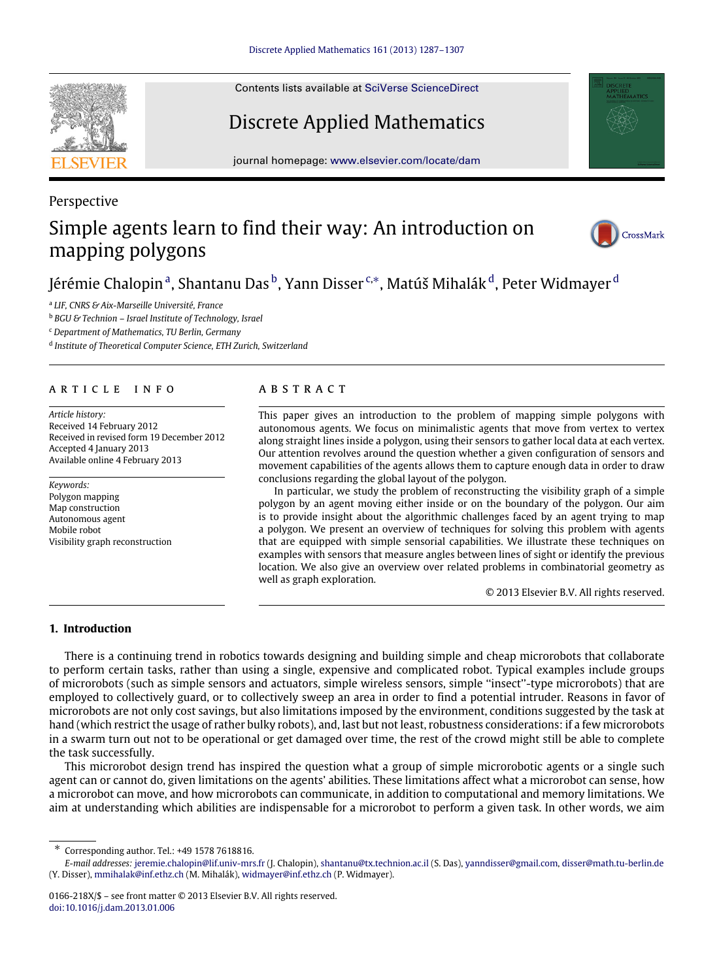Contents lists available at [SciVerse ScienceDirect](http://www.elsevier.com/locate/dam)

# Discrete Applied Mathematics

journal homepage: [www.elsevier.com/locate/dam](http://www.elsevier.com/locate/dam)

## Perspective Simple agents learn to find their way: An introduction on mapping polygons



## Jérémie Ch[a](#page-0-0)lopinª, Shantanu Dasʰ, Yann Disser<sup>.[c,](#page-0-2)</sup>\*, Matúš Mihalák<sup>[d](#page-0-4)</sup>, Peter Widmayer<sup>d</sup>

<span id="page-0-0"></span>a *LIF, CNRS & Aix-Marseille Université, France*

<span id="page-0-1"></span><sup>b</sup> *BGU & Technion – Israel Institute of Technology, Israel*

<span id="page-0-2"></span><sup>c</sup> *Department of Mathematics, TU Berlin, Germany*

<span id="page-0-4"></span>d *Institute of Theoretical Computer Science, ETH Zurich, Switzerland*

## a r t i c l e i n f o

*Article history:* Received 14 February 2012 Received in revised form 19 December 2012 Accepted 4 January 2013 Available online 4 February 2013

*Keywords:* Polygon mapping Map construction Autonomous agent Mobile robot Visibility graph reconstruction

## a b s t r a c t

This paper gives an introduction to the problem of mapping simple polygons with autonomous agents. We focus on minimalistic agents that move from vertex to vertex along straight lines inside a polygon, using their sensors to gather local data at each vertex. Our attention revolves around the question whether a given configuration of sensors and movement capabilities of the agents allows them to capture enough data in order to draw conclusions regarding the global layout of the polygon.

In particular, we study the problem of reconstructing the visibility graph of a simple polygon by an agent moving either inside or on the boundary of the polygon. Our aim is to provide insight about the algorithmic challenges faced by an agent trying to map a polygon. We present an overview of techniques for solving this problem with agents that are equipped with simple sensorial capabilities. We illustrate these techniques on examples with sensors that measure angles between lines of sight or identify the previous location. We also give an overview over related problems in combinatorial geometry as well as graph exploration.

© 2013 Elsevier B.V. All rights reserved.

## **1. Introduction**

There is a continuing trend in robotics towards designing and building simple and cheap microrobots that collaborate to perform certain tasks, rather than using a single, expensive and complicated robot. Typical examples include groups of microrobots (such as simple sensors and actuators, simple wireless sensors, simple ''insect''-type microrobots) that are employed to collectively guard, or to collectively sweep an area in order to find a potential intruder. Reasons in favor of microrobots are not only cost savings, but also limitations imposed by the environment, conditions suggested by the task at hand (which restrict the usage of rather bulky robots), and, last but not least, robustness considerations: if a few microrobots in a swarm turn out not to be operational or get damaged over time, the rest of the crowd might still be able to complete the task successfully.

This microrobot design trend has inspired the question what a group of simple microrobotic agents or a single such agent can or cannot do, given limitations on the agents' abilities. These limitations affect what a microrobot can sense, how a microrobot can move, and how microrobots can communicate, in addition to computational and memory limitations. We aim at understanding which abilities are indispensable for a microrobot to perform a given task. In other words, we aim

<span id="page-0-3"></span>∗ Corresponding author. Tel.: +49 1578 7618816.



*E-mail addresses:* [jeremie.chalopin@lif.univ-mrs.fr](mailto:jeremie.chalopin@lif.univ-mrs.fr) (J. Chalopin), [shantanu@tx.technion.ac.il](mailto:shantanu@tx.technion.ac.il) (S. Das), [yanndisser@gmail.com,](mailto:yanndisser@gmail.com) [disser@math.tu-berlin.de](mailto:disser@math.tu-berlin.de) (Y. Disser), [mmihalak@inf.ethz.ch](mailto:mmihalak@inf.ethz.ch) (M. Mihalák), [widmayer@inf.ethz.ch](mailto:widmayer@inf.ethz.ch) (P. Widmayer).

<sup>0166-218</sup>X/\$ – see front matter © 2013 Elsevier B.V. All rights reserved. [doi:10.1016/j.dam.2013.01.006](http://dx.doi.org/10.1016/j.dam.2013.01.006)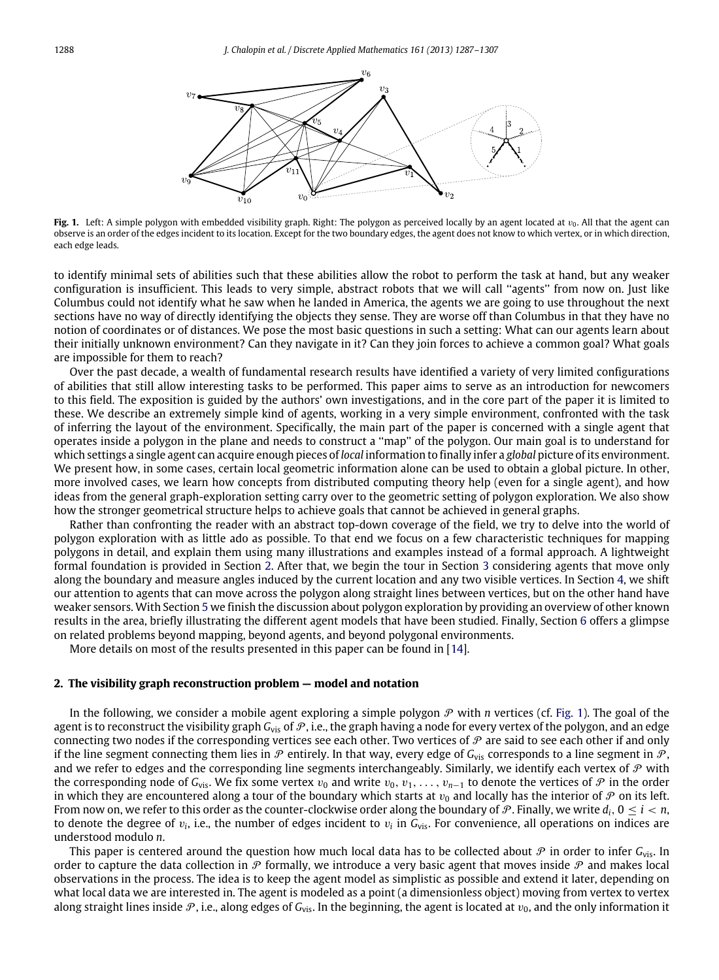<span id="page-1-1"></span>

**Fig. 1.** Left: A simple polygon with embedded visibility graph. Right: The polygon as perceived locally by an agent located at  $v_0$ . All that the agent can observe is an order of the edges incident to its location. Except for the two boundary edges, the agent does not know to which vertex, or in which direction, each edge leads.

to identify minimal sets of abilities such that these abilities allow the robot to perform the task at hand, but any weaker configuration is insufficient. This leads to very simple, abstract robots that we will call ''agents'' from now on. Just like Columbus could not identify what he saw when he landed in America, the agents we are going to use throughout the next sections have no way of directly identifying the objects they sense. They are worse off than Columbus in that they have no notion of coordinates or of distances. We pose the most basic questions in such a setting: What can our agents learn about their initially unknown environment? Can they navigate in it? Can they join forces to achieve a common goal? What goals are impossible for them to reach?

Over the past decade, a wealth of fundamental research results have identified a variety of very limited configurations of abilities that still allow interesting tasks to be performed. This paper aims to serve as an introduction for newcomers to this field. The exposition is guided by the authors' own investigations, and in the core part of the paper it is limited to these. We describe an extremely simple kind of agents, working in a very simple environment, confronted with the task of inferring the layout of the environment. Specifically, the main part of the paper is concerned with a single agent that operates inside a polygon in the plane and needs to construct a ''map'' of the polygon. Our main goal is to understand for which settings a single agent can acquire enough pieces of *local* information to finally infer a *global* picture of its environment. We present how, in some cases, certain local geometric information alone can be used to obtain a global picture. In other, more involved cases, we learn how concepts from distributed computing theory help (even for a single agent), and how ideas from the general graph-exploration setting carry over to the geometric setting of polygon exploration. We also show how the stronger geometrical structure helps to achieve goals that cannot be achieved in general graphs.

Rather than confronting the reader with an abstract top-down coverage of the field, we try to delve into the world of polygon exploration with as little ado as possible. To that end we focus on a few characteristic techniques for mapping polygons in detail, and explain them using many illustrations and examples instead of a formal approach. A lightweight formal foundation is provided in Section [2.](#page-1-0) After that, we begin the tour in Section [3](#page-2-0) considering agents that move only along the boundary and measure angles induced by the current location and any two visible vertices. In Section [4,](#page-7-0) we shift our attention to agents that can move across the polygon along straight lines between vertices, but on the other hand have weaker sensors. With Section [5](#page-12-0) we finish the discussion about polygon exploration by providing an overview of other known results in the area, briefly illustrating the different agent models that have been studied. Finally, Section [6](#page-15-0) offers a glimpse on related problems beyond mapping, beyond agents, and beyond polygonal environments.

More details on most of the results presented in this paper can be found in [\[14\]](#page-20-0).

## <span id="page-1-0"></span>**2. The visibility graph reconstruction problem — model and notation**

In the following, we consider a mobile agent exploring a simple polygon  $P$  with *n* vertices (cf. [Fig. 1\)](#page-1-1). The goal of the agent is to reconstruct the visibility graph  $G_{vis}$  of  $P$ , i.e., the graph having a node for every vertex of the polygon, and an edge connecting two nodes if the corresponding vertices see each other. Two vertices of  $P$  are said to see each other if and only if the line segment connecting them lies in  $P$  entirely. In that way, every edge of  $G_{vis}$  corresponds to a line segment in  $P$ , and we refer to edges and the corresponding line segments interchangeably. Similarly, we identify each vertex of  $\mathcal P$  with the corresponding node of  $G_{vis}$ . We fix some vertex  $v_0$  and write  $v_0, v_1, \ldots, v_{n-1}$  to denote the vertices of P in the order in which they are encountered along a tour of the boundary which starts at  $v_0$  and locally has the interior of  $P$  on its left. From now on, we refer to this order as the counter-clockwise order along the boundary of P. Finally, we write  $d_i$ ,  $0 \le i < n$ , to denote the degree of  $v_i$ , i.e., the number of edges incident to  $v_i$  in  $G_{vis}$ . For convenience, all operations on indices are understood modulo *n*.

This paper is centered around the question how much local data has to be collected about  $P$  in order to infer  $G_{vis}$ . In order to capture the data collection in  $P$  formally, we introduce a very basic agent that moves inside  $P$  and makes local observations in the process. The idea is to keep the agent model as simplistic as possible and extend it later, depending on what local data we are interested in. The agent is modeled as a point (a dimensionless object) moving from vertex to vertex along straight lines inside  $\mathcal{P}$ , i.e., along edges of  $G_{vis}$ . In the beginning, the agent is located at  $v_0$ , and the only information it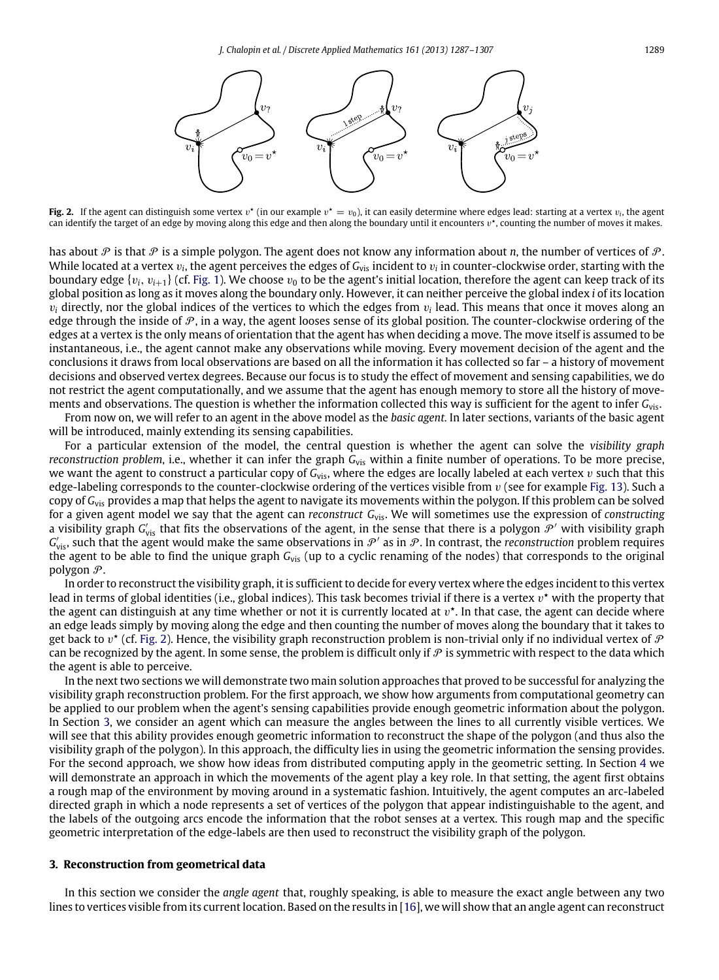<span id="page-2-1"></span>

**Fig. 2.** If the agent can distinguish some vertex  $v^*$  (in our example  $v^* = v_0$ ), it can easily determine where edges lead: starting at a vertex  $v_i$ , the agent can identify the target of an edge by moving along this edge and then along the boundary until it encounters  $v^*$ , counting the number of moves it makes.

has about  $P$  is that  $P$  is a simple polygon. The agent does not know any information about *n*, the number of vertices of  $P$ . While located at a vertex  $v_i$ , the agent perceives the edges of  $G_{\text{vis}}$  incident to  $v_i$  in counter-clockwise order, starting with the boundary edge { $v_i$ ,  $v_{i+1}$ } (cf. [Fig. 1\)](#page-1-1). We choose  $v_0$  to be the agent's initial location, therefore the agent can keep track of its global position as long as it moves along the boundary only. However, it can neither perceive the global index *i* of its location  $v_i$  directly, nor the global indices of the vertices to which the edges from  $v_i$  lead. This means that once it moves along an edge through the inside of  $P$ , in a way, the agent looses sense of its global position. The counter-clockwise ordering of the edges at a vertex is the only means of orientation that the agent has when deciding a move. The move itself is assumed to be instantaneous, i.e., the agent cannot make any observations while moving. Every movement decision of the agent and the conclusions it draws from local observations are based on all the information it has collected so far – a history of movement decisions and observed vertex degrees. Because our focus is to study the effect of movement and sensing capabilities, we do not restrict the agent computationally, and we assume that the agent has enough memory to store all the history of movements and observations. The question is whether the information collected this way is sufficient for the agent to infer *G*vis.

From now on, we will refer to an agent in the above model as the *basic agent.* In later sections, variants of the basic agent will be introduced, mainly extending its sensing capabilities.

For a particular extension of the model, the central question is whether the agent can solve the *visibility graph reconstruction problem*, i.e., whether it can infer the graph *G*vis within a finite number of operations. To be more precise, we want the agent to construct a particular copy of  $G_{vis}$ , where the edges are locally labeled at each vertex  $v$  such that this edge-labeling corresponds to the counter-clockwise ordering of the vertices visible from  $v$  (see for example [Fig. 13\)](#page-8-0). Such a copy of *G*vis provides a map that helps the agent to navigate its movements within the polygon. If this problem can be solved for a given agent model we say that the agent can *reconstruct G*vis. We will sometimes use the expression of *constructing* a visibility graph  $G'_{vis}$  that fits the observations of the agent, in the sense that there is a polygon  $\mathcal{P}'$  with visibility graph  $G'_{vis}$ , such that the agent would make the same observations in  $\mathcal{P}'$  as in  $\mathcal{P}$ . In contrast, the *reconstruction* problem requires the agent to be able to find the unique graph *G*vis (up to a cyclic renaming of the nodes) that corresponds to the original polygon  $\mathcal{P}$ .

In order to reconstruct the visibility graph, it is sufficient to decide for every vertex where the edges incident to this vertex lead in terms of global identities (i.e., global indices). This task becomes trivial if there is a vertex  $v^\star$  with the property that the agent can distinguish at any time whether or not it is currently located at  $v^*$ . In that case, the agent can decide where an edge leads simply by moving along the edge and then counting the number of moves along the boundary that it takes to get back to  $v^\star$  (cf. [Fig. 2\)](#page-2-1). Hence, the visibility graph reconstruction problem is non-trivial only if no individual vertex of  $\mathcal F$ can be recognized by the agent. In some sense, the problem is difficult only if  $\mathcal P$  is symmetric with respect to the data which the agent is able to perceive.

In the next two sections we will demonstrate two main solution approaches that proved to be successful for analyzing the visibility graph reconstruction problem. For the first approach, we show how arguments from computational geometry can be applied to our problem when the agent's sensing capabilities provide enough geometric information about the polygon. In Section [3,](#page-2-0) we consider an agent which can measure the angles between the lines to all currently visible vertices. We will see that this ability provides enough geometric information to reconstruct the shape of the polygon (and thus also the visibility graph of the polygon). In this approach, the difficulty lies in using the geometric information the sensing provides. For the second approach, we show how ideas from distributed computing apply in the geometric setting. In Section [4](#page-7-0) we will demonstrate an approach in which the movements of the agent play a key role. In that setting, the agent first obtains a rough map of the environment by moving around in a systematic fashion. Intuitively, the agent computes an arc-labeled directed graph in which a node represents a set of vertices of the polygon that appear indistinguishable to the agent, and the labels of the outgoing arcs encode the information that the robot senses at a vertex. This rough map and the specific geometric interpretation of the edge-labels are then used to reconstruct the visibility graph of the polygon.

## <span id="page-2-0"></span>**3. Reconstruction from geometrical data**

In this section we consider the *angle agent* that, roughly speaking, is able to measure the exact angle between any two lines to vertices visible from its current location. Based on the results in [\[16\]](#page-20-1), we will show that an angle agent can reconstruct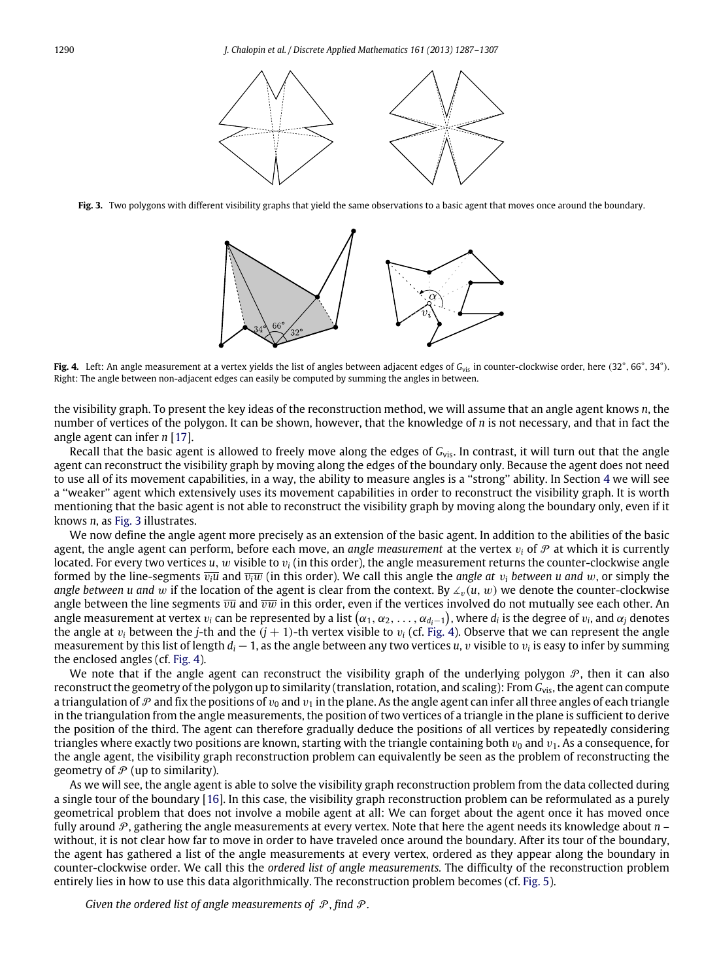

<span id="page-3-1"></span><span id="page-3-0"></span>**Fig. 3.** Two polygons with different visibility graphs that yield the same observations to a basic agent that moves once around the boundary.



**Fig. 4.** Left: An angle measurement at a vertex yields the list of angles between adjacent edges of *G*vis in counter-clockwise order, here (32°, 66°, 34°). Right: The angle between non-adjacent edges can easily be computed by summing the angles in between.

the visibility graph. To present the key ideas of the reconstruction method, we will assume that an angle agent knows *n*, the number of vertices of the polygon. It can be shown, however, that the knowledge of *n* is not necessary, and that in fact the angle agent can infer *n* [\[17\]](#page-20-2).

Recall that the basic agent is allowed to freely move along the edges of *G*vis. In contrast, it will turn out that the angle agent can reconstruct the visibility graph by moving along the edges of the boundary only. Because the agent does not need to use all of its movement capabilities, in a way, the ability to measure angles is a ''strong'' ability. In Section [4](#page-7-0) we will see a ''weaker'' agent which extensively uses its movement capabilities in order to reconstruct the visibility graph. It is worth mentioning that the basic agent is not able to reconstruct the visibility graph by moving along the boundary only, even if it knows *n*, as [Fig. 3](#page-3-0) illustrates.

We now define the angle agent more precisely as an extension of the basic agent. In addition to the abilities of the basic agent, the angle agent can perform, before each move, an *angle measurement* at the vertex  $v_i$  of  $P$  at which it is currently located. For every two vertices *u*, w visible to v*<sup>i</sup>* (in this order), the angle measurement returns the counter-clockwise angle formed by the line-segments  $\overline{v_i u}$  and  $\overline{v_i w}$  (in this order). We call this angle the *angle at*  $v_i$  *between u and* w, or simply the *angle between u and* w if the location of the agent is clear from the context. By  $\angle_{v}(u, w)$  we denote the counter-clockwise angle between the line segments  $\overline{vu}$  and  $\overline{vw}$  in this order, even if the vertices involved do not mutually see each other. An angle measurement at vertex  $v_i$  can be represented by a list  $(\alpha_1, \alpha_2, \ldots, \alpha_{d_i-1})$ , where  $d_i$  is the degree of  $v_i$ , and  $\alpha_j$  denotes the angle at  $v_i$  between the *j*-th and the (*j* + 1)-th vertex visible to  $v_i$  (cf. [Fig. 4\)](#page-3-1). Observe that we can represent the angle measurement by this list of length *d<sup>i</sup>* −1, as the angle between any two vertices *u*, v visible to v*<sup>i</sup>* is easy to infer by summing the enclosed angles (cf. [Fig. 4\)](#page-3-1).

We note that if the angle agent can reconstruct the visibility graph of the underlying polygon  $\mathcal{P}$ , then it can also reconstruct the geometry of the polygon up to similarity (translation, rotation, and scaling): From *G*vis, the agent can compute a triangulation of P and fix the positions of  $v_0$  and  $v_1$  in the plane. As the angle agent can infer all three angles of each triangle in the triangulation from the angle measurements, the position of two vertices of a triangle in the plane is sufficient to derive the position of the third. The agent can therefore gradually deduce the positions of all vertices by repeatedly considering triangles where exactly two positions are known, starting with the triangle containing both  $v_0$  and  $v_1$ . As a consequence, for the angle agent, the visibility graph reconstruction problem can equivalently be seen as the problem of reconstructing the geometry of  $P$  (up to similarity).

As we will see, the angle agent is able to solve the visibility graph reconstruction problem from the data collected during a single tour of the boundary [\[16\]](#page-20-1). In this case, the visibility graph reconstruction problem can be reformulated as a purely geometrical problem that does not involve a mobile agent at all: We can forget about the agent once it has moved once fully around  $\mathcal{P}$ , gathering the angle measurements at every vertex. Note that here the agent needs its knowledge about  $n$ without, it is not clear how far to move in order to have traveled once around the boundary. After its tour of the boundary, the agent has gathered a list of the angle measurements at every vertex, ordered as they appear along the boundary in counter-clockwise order. We call this the *ordered list of angle measurements.* The difficulty of the reconstruction problem entirely lies in how to use this data algorithmically. The reconstruction problem becomes (cf. [Fig. 5\)](#page-4-0).

*Given the ordered list of angle measurements of*  $P$ , *find*  $P$ .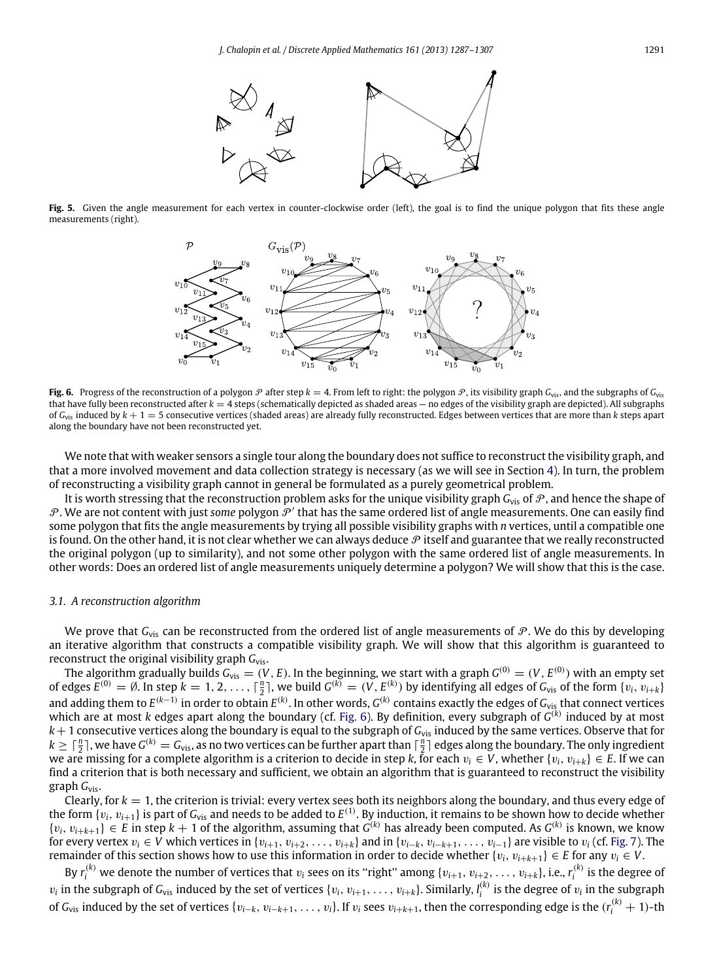

<span id="page-4-1"></span><span id="page-4-0"></span>Fig. 5. Given the angle measurement for each vertex in counter-clockwise order (left), the goal is to find the unique polygon that fits these angle measurements (right).



**Fig. 6.** Progress of the reconstruction of a polygon  $P$  after step  $k = 4$ . From left to right: the polygon  $P$ , its visibility graph  $G_{vis}$ , and the subgraphs of  $G_{vis}$ that have fully been reconstructed after *k* = 4 steps (schematically depicted as shaded areas — no edges of the visibility graph are depicted). All subgraphs of  $G_{vis}$  induced by  $k + 1 = 5$  consecutive vertices (shaded areas) are already fully reconstructed. Edges between vertices that are more than *k* steps apart along the boundary have not been reconstructed yet.

We note that with weaker sensors a single tour along the boundary does not suffice to reconstruct the visibility graph, and that a more involved movement and data collection strategy is necessary (as we will see in Section [4\)](#page-7-0). In turn, the problem of reconstructing a visibility graph cannot in general be formulated as a purely geometrical problem.

It is worth stressing that the reconstruction problem asks for the unique visibility graph  $G_{\text{vis}}$  of  $\mathcal{P}$ , and hence the shape of  $P$ . We are not content with just some polygon  $P'$  that has the same ordered list of angle measurements. One can easily find some polygon that fits the angle measurements by trying all possible visibility graphs with *n* vertices, until a compatible one is found. On the other hand, it is not clear whether we can always deduce  $P$  itself and guarantee that we really reconstructed the original polygon (up to similarity), and not some other polygon with the same ordered list of angle measurements. In other words: Does an ordered list of angle measurements uniquely determine a polygon? We will show that this is the case.

## <span id="page-4-2"></span>*3.1. A reconstruction algorithm*

We prove that  $G_{vis}$  can be reconstructed from the ordered list of angle measurements of  $P$ . We do this by developing an iterative algorithm that constructs a compatible visibility graph. We will show that this algorithm is guaranteed to reconstruct the original visibility graph *G*vis.

The algorithm gradually builds  $G_{\rm vis}=(V,E)$ . In the beginning, we start with a graph  $G^{(0)}=(V,E^{(0)})$  with an empty set of edges  $E^{(0)} = \emptyset$ . In step  $k = 1, 2, ..., \lceil \frac{n}{2} \rceil$ , we build  $G^{(k)} = (V, E^{(k)})$  by identifying all edges of  $G_{vis}$  of the form  $\{v_i, v_{i+k}\}$ and adding them to *E*<sup>(k−1)</sup> in order to obtain *E*<sup>(k)</sup>. In other words, G<sup>(k)</sup> contains exactly the edges of G<sub>vis</sub> that connect vertices which are at most *k* edges apart along the boundary (cf. [Fig. 6\)](#page-4-1). By definition, every subgraph of *G* (*k*) induced by at most *k*+1 consecutive vertices along the boundary is equal to the subgraph of *G*vis induced by the same vertices. Observe that for  $k\geq \lceil\frac{n}{2}\rceil$ , we have  $G^{(k)}=G_{\text{vis}}$ , as no two vertices can be further apart than  $\lceil\frac{n}{2}\rceil$  edges along the boundary. The only ingredient we are missing for a complete algorithm is a criterion to decide in step *k*, for each  $v_i \in V$ , whether  $\{v_i, v_{i+k}\} \in E$ . If we can find a criterion that is both necessary and sufficient, we obtain an algorithm that is guaranteed to reconstruct the visibility graph *G*vis.

Clearly, for  $k = 1$ , the criterion is trivial: every vertex sees both its neighbors along the boundary, and thus every edge of the form  $\{v_i, v_{i+1}\}$  is part of  $G_{vis}$  and needs to be added to  $E^{(1)}$ . By induction, it remains to be shown how to decide whether  ${v_i, v_{i+k+1}}$  ∈ *E* in step *k* + 1 of the algorithm, assuming that  $G^{(k)}$  has already been computed. As  $G^{(k)}$  is known, we know for every vertex  $v_i \in V$  which vertices in  $\{v_{i+1}, v_{i+2}, \ldots, v_{i+k}\}$  and in  $\{v_{i-k}, v_{i-k+1}, \ldots, v_{i-1}\}$  are visible to  $v_i$  (cf. [Fig. 7\)](#page-5-0). The remainder of this section shows how to use this information in order to decide whether  $\{v_i, v_{i+k+1}\}\in E$  for any  $v_i \in V$ .

By  $r_i^{(k)}$  we denote the number of vertices that  $v_i$  sees on its "right" among  $\{v_{i+1},v_{i+2},\ldots,v_{i+k}\},$  i.e.,  $r_i^{(k)}$  is the degree of  $v_i$  in the subgraph of  $G_{vis}$  induced by the set of vertices  $\{v_i, v_{i+1}, \ldots, v_{i+k}\}$ . Similarly,  $l_i^{(k)}$  is the degree of  $v_i$  in the subgraph of  $G_{vis}$  induced by the set of vertices  $\{v_{i-k}, v_{i-k+1}, \ldots, v_i\}$ . If  $v_i$  sees  $v_{i+k+1}$ , then the corresponding edge is the  $(r_i^{(k)} + 1)$ -th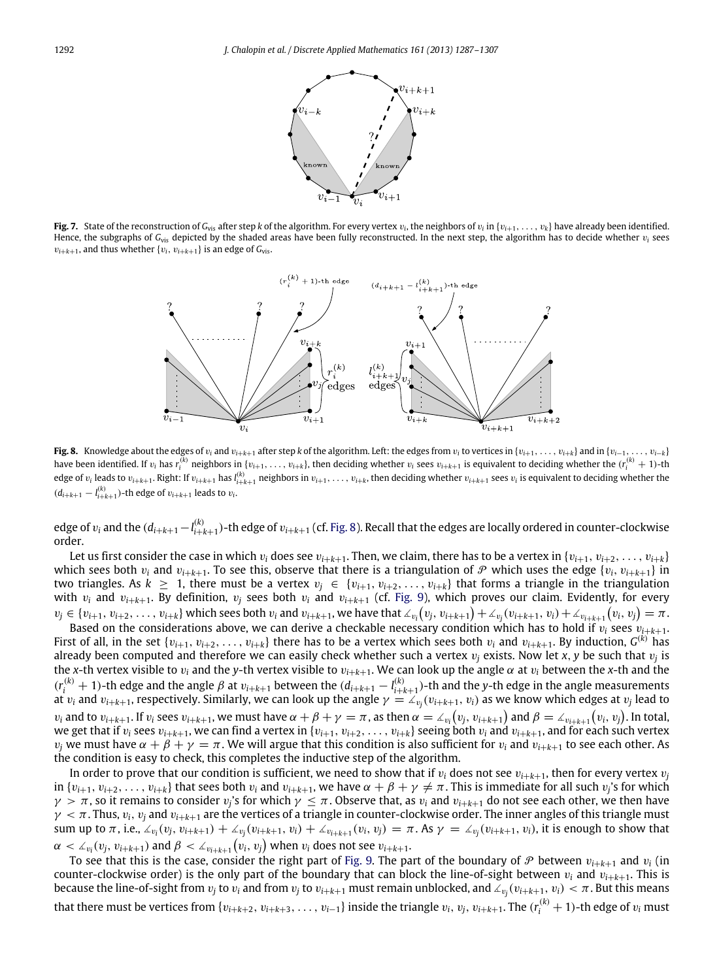

<span id="page-5-1"></span><span id="page-5-0"></span>**Fig. 7.** State of the reconstruction of G<sub>vis</sub> after step *k* of the algorithm. For every vertex  $v_i$ , the neighbors of  $v_i$  in { $v_{i+1}, \ldots, v_k$ } have already been identified. Hence, the subgraphs of *G*vis depicted by the shaded areas have been fully reconstructed. In the next step, the algorithm has to decide whether v*<sup>i</sup>* sees  $v_{i+k+1}$ , and thus whether  $\{v_i, v_{i+k+1}\}$  is an edge of  $G_{\text{vis}}$ .



Fig. 8. Knowledge about the edges of  $v_i$  and  $v_{i+k+1}$  after step k of the algorithm. Left: the edges from  $v_i$  to vertices in  $\{v_{i+1}, \ldots, v_{i+k}\}$  and in  $\{v_{i-1}, \ldots, v_{i-k}\}$ have been identified. If  $v_i$  has  $r_i^{(k)}$  neighbors in  $\{v_{i+1},\ldots,v_{i+k}\}$ , then deciding whether  $v_i$  sees  $v_{i+k+1}$  is equivalent to deciding whether the  $(r_i^{(k)}+1)$ -th edge of  $v_i$  leads to  $v_{i+k+1}$ . Right: If  $v_{i+k+1}$  has  $l_{i+k+1}^{(k)}$  neighbors in  $v_{i+1},\ldots,v_{i+k}$ , then deciding whether  $v_{i+k+1}$  sees  $v_i$  is equivalent to deciding whether the  $(d_{i+k+1} - l_{i+k+1}^{(k)})$ -th edge of  $v_{i+k+1}$  leads to  $v_i$ .

edge of  $v_i$  and the ( $d_{i+k+1}-l_{i+k+1}^{(k)}$ )-th edge of  $v_{i+k+1}$  (cf. [Fig. 8\)](#page-5-1). Recall that the edges are locally ordered in counter-clockwise order.

Let us first consider the case in which  $v_i$  does see  $v_{i+k+1}$ . Then, we claim, there has to be a vertex in  $\{v_{i+1}, v_{i+2}, \ldots, v_{i+k}\}$ which sees both  $v_i$  and  $v_{i+k+1}$ . To see this, observe that there is a triangulation of P which uses the edge  $\{v_i, v_{i+k+1}\}$  in two triangles. As  $k \geq 1$ , there must be a vertex  $v_j \in \{v_{i+1}, v_{i+2}, \ldots, v_{i+k}\}\$  that forms a triangle in the triangulation with  $v_i$  and  $v_{i+k+1}$ . By definition,  $v_i$  sees both  $v_i$  and  $v_{i+k+1}$  (cf. [Fig. 9\)](#page-6-0), which proves our claim. Evidently, for every  $v_j \in \{v_{i+1}, v_{i+2}, \ldots, v_{i+k}\}\$  which sees both  $v_i$  and  $v_{i+k+1}$ , we have that  $\angle_{v_i}(v_j, v_{i+k+1}) + \angle_{v_j}(v_{i+k+1}, v_i) + \angle_{v_{i+k+1}}(v_i, v_j) = \pi$ .

Based on the considerations above, we can derive a checkable necessary condition which has to hold if  $v_i$  sees  $v_{i+k+1}$ . First of all, in the set  $\{v_{i+1}, v_{i+2}, \ldots, v_{i+k}\}$  there has to be a vertex which sees both  $v_i$  and  $v_{i+k+1}$ . By induction,  $G^{(k)}$  has already been computed and therefore we can easily check whether such a vertex  $v_j$  exists. Now let x, y be such that  $v_j$  is the *x*-th vertex visible to  $v_i$  and the *y*-th vertex visible to  $v_{i+k+1}$ . We can look up the angle  $\alpha$  at  $v_i$  between the *x*-th and the  $(r_i^{(k)} + 1)$ -th edge and the angle  $\beta$  at  $v_{i+k+1}$  between the  $(d_{i+k+1} - l_{i+k+1}^{(k)})$ -th and the *y*-th edge in the angle measurements at  $v_i$  and  $v_{i+k+1}$ , respectively. Similarly, we can look up the angle  $\gamma = \mathbb{Z}_{v_j}(v_{i+k+1}, v_i)$  as we know which edges at  $v_j$  lead to  $v_i$  and to  $v_{i+k+1}.$  If  $v_i$  sees  $v_{i+k+1}.$  we must have  $\alpha+\beta+\gamma=\pi.$  as then  $\alpha=\measuredangle_{v_i}(v_j,v_{i+k+1})$  and  $\beta=\measuredangle_{v_{i+k+1}}(v_i,v_j).$  In total, we get that if  $v_i$  sees  $v_{i+k+1}$ , we can find a vertex in  $\{v_{i+1}, v_{i+2}, \ldots, v_{i+k}\}$  seeing both  $v_i$  and  $v_{i+k+1}$ , and for each such vertex  $v_i$  we must have  $\alpha + \beta + \gamma = \pi$ . We will argue that this condition is also sufficient for  $v_i$  and  $v_{i+k+1}$  to see each other. As the condition is easy to check, this completes the inductive step of the algorithm.

In order to prove that our condition is sufficient, we need to show that if  $v_i$  does not see  $v_{i+k+1}$ , then for every vertex  $v_j$ in  $\{v_{i+1}, v_{i+2}, \ldots, v_{i+k}\}\$  that sees both  $v_i$  and  $v_{i+k+1}$ , we have  $\alpha + \beta + \gamma \neq \pi$ . This is immediate for all such  $v_j$ 's for which  $\gamma > \pi$ , so it remains to consider  $v_j$ 's for which  $\gamma \leq \pi$ . Observe that, as  $v_i$  and  $v_{i+k+1}$  do not see each other, we then have  $\gamma < \pi$ . Thus,  $v_i$ ,  $v_j$  and  $v_{i+k+1}$  are the vertices of a triangle in counter-clockwise order. The inner angles of this triangle must sum up to  $\pi$ , i.e.,  $\measuredangle_{v_i}(v_j, v_{i+k+1}) + \measuredangle_{v_j}(v_{i+k+1}, v_i) + \measuredangle_{v_{i+k+1}}(v_i, v_j) = \pi$ . As  $\gamma = \measuredangle_{v_j}(v_{i+k+1}, v_i)$ , it is enough to show that  $\alpha < \angle_{v_i}(v_j, v_{i+k+1})$  and  $\beta < \angle_{v_{i+k+1}}(v_i, v_j)$  when  $v_i$  does not see  $v_{i+k+1}$ .

To see that this is the case, consider the right part of [Fig. 9.](#page-6-0) The part of the boundary of  $P$  between  $v_{i+k+1}$  and  $v_i$  (in counter-clockwise order) is the only part of the boundary that can block the line-of-sight between  $v_i$  and  $v_{i+k+1}$ . This is because the line-of-sight from  $v_j$  to  $v_i$  and from  $v_j$  to  $v_{i+k+1}$  must remain unblocked, and  $\measuredangle_{v_j}(v_{i+k+1}, v_i) < \pi$ . But this means that there must be vertices from  $\{v_{i+k+2},v_{i+k+3},\ldots,v_{i-1}\}$  inside the triangle  $v_i,v_j,v_{i+k+1}.$  The  $(r_i^{(k)}+1)$ -th edge of  $v_i$  must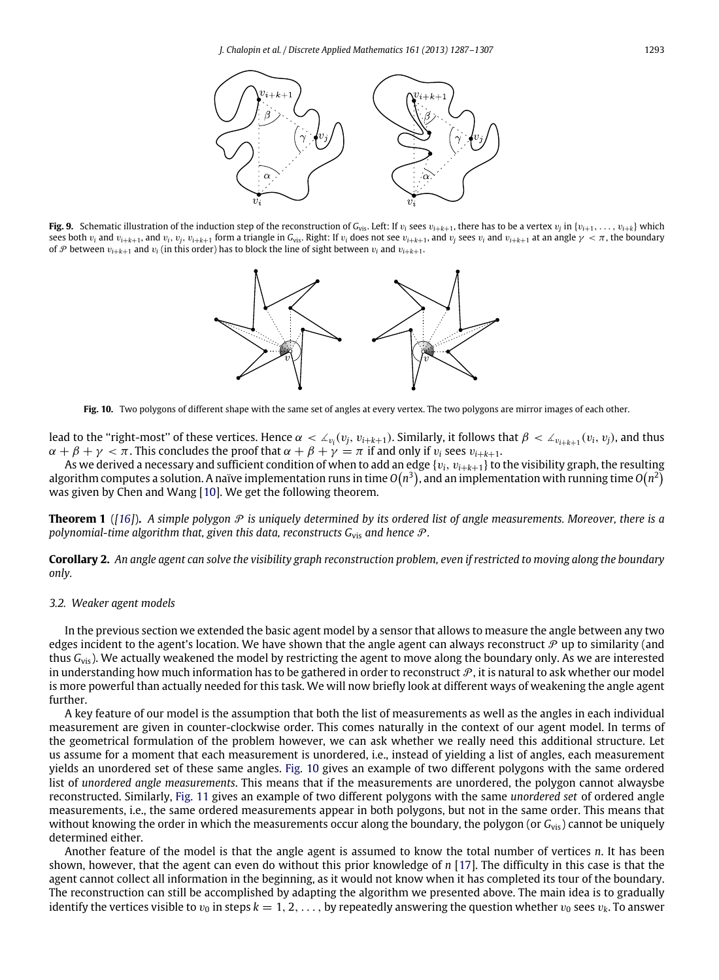<span id="page-6-0"></span>

<span id="page-6-1"></span>**Fig. 9.** Schematic illustration of the induction step of the reconstruction of G<sub>vis</sub>. Left: If  $v_i$  sees  $v_{i+k+1}$ , there has to be a vertex  $v_j$  in  $\{v_{i+1},\ldots,v_{i+k}\}$  which sees both  $v_i$  and  $v_{i+k+1}$ , and  $v_i$ ,  $v_i$ ,  $v_{i+k+1}$  form a triangle in  $G_{vis}$ . Right: If  $v_i$  does not see  $v_{i+k+1}$ , and  $v_j$  sees  $v_i$  and  $v_{i+k+1}$  at an angle  $\gamma < \pi$ , the boundary of P between  $v_{i+k+1}$  and  $v_i$  (in this order) has to block the line of sight between  $v_i$  and  $v_{i+k+1}$ .



**Fig. 10.** Two polygons of different shape with the same set of angles at every vertex. The two polygons are mirror images of each other.

lead to the "right-most" of these vertices. Hence  $\alpha < \angle_{v_i}(v_j,v_{i+k+1})$ . Similarly, it follows that  $\beta < \angle_{v_{i+k+1}}(v_i,v_j)$ , and thus  $\alpha + \beta + \gamma < \pi$ . This concludes the proof that  $\alpha + \beta + \gamma = \pi$  if and only if  $v_i$  sees  $v_{i+k+1}$ .

As we derived a necessary and sufficient condition of when to add an edge  $\{v_i, v_{i+k+1}\}$  to the visibility graph, the resulting algorithm computes a solution. A naïve implementation runs in time  $O(n^3)$ , and an implementation with running time  $O(n^2)$ was given by Chen and Wang [\[10\]](#page-20-3). We get the following theorem.

**Theorem 1** (*[\[16\]](#page-20-1)*)**.** *A simple polygon* P *is uniquely determined by its ordered list of angle measurements. Moreover, there is a polynomial-time algorithm that, given this data, reconstructs G*vis *and hence* P *.*

**Corollary 2.** *An angle agent can solve the visibility graph reconstruction problem, even if restricted to moving along the boundary only.*

## *3.2. Weaker agent models*

In the previous section we extended the basic agent model by a sensor that allows to measure the angle between any two edges incident to the agent's location. We have shown that the angle agent can always reconstruct  $\mathcal P$  up to similarity (and thus *G*vis). We actually weakened the model by restricting the agent to move along the boundary only. As we are interested in understanding how much information has to be gathered in order to reconstruct  $P$ , it is natural to ask whether our model is more powerful than actually needed for this task. We will now briefly look at different ways of weakening the angle agent further.

A key feature of our model is the assumption that both the list of measurements as well as the angles in each individual measurement are given in counter-clockwise order. This comes naturally in the context of our agent model. In terms of the geometrical formulation of the problem however, we can ask whether we really need this additional structure. Let us assume for a moment that each measurement is unordered, i.e., instead of yielding a list of angles, each measurement yields an unordered set of these same angles. [Fig. 10](#page-6-1) gives an example of two different polygons with the same ordered list of *unordered angle measurements*. This means that if the measurements are unordered, the polygon cannot alwaysbe reconstructed. Similarly, [Fig. 11](#page-7-1) gives an example of two different polygons with the same *unordered set* of ordered angle measurements, i.e., the same ordered measurements appear in both polygons, but not in the same order. This means that without knowing the order in which the measurements occur along the boundary, the polygon (or *G*vis) cannot be uniquely determined either.

Another feature of the model is that the angle agent is assumed to know the total number of vertices *n*. It has been shown, however, that the agent can even do without this prior knowledge of *n* [\[17\]](#page-20-2). The difficulty in this case is that the agent cannot collect all information in the beginning, as it would not know when it has completed its tour of the boundary. The reconstruction can still be accomplished by adapting the algorithm we presented above. The main idea is to gradually identify the vertices visible to  $v_0$  in steps  $k = 1, 2, \ldots$ , by repeatedly answering the question whether  $v_0$  sees  $v_k$ . To answer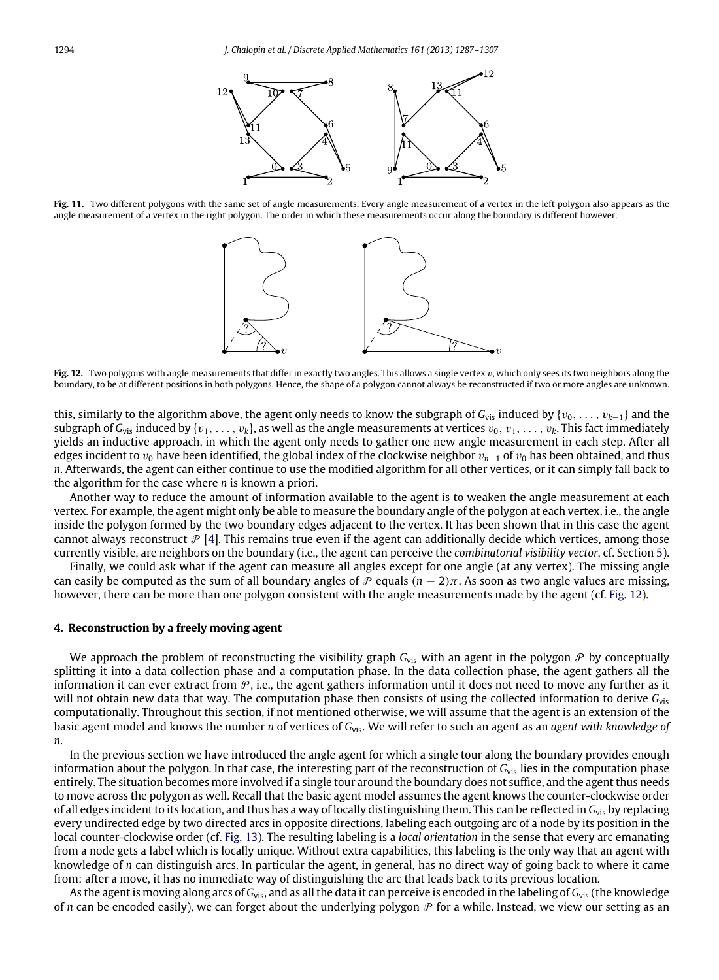

<span id="page-7-2"></span><span id="page-7-1"></span>Fig. 11. Two different polygons with the same set of angle measurements. Every angle measurement of a vertex in the left polygon also appears as the angle measurement of a vertex in the right polygon. The order in which these measurements occur along the boundary is different however.



Fig. 12. Two polygons with angle measurements that differ in exactly two angles. This allows a single vertex v, which only sees its two neighbors along the boundary, to be at different positions in both polygons. Hence, the shape of a polygon cannot always be reconstructed if two or more angles are unknown.

this, similarly to the algorithm above, the agent only needs to know the subgraph of  $G_{vis}$  induced by  $\{v_0, \ldots, v_{k-1}\}$  and the subgraph of  $G_{vis}$  induced by  $\{v_1, \ldots, v_k\}$ , as well as the angle measurements at vertices  $v_0, v_1, \ldots, v_k$ . This fact immediately yields an inductive approach, in which the agent only needs to gather one new angle measurement in each step. After all edges incident to v<sub>0</sub> have been identified, the global index of the clockwise neighbor v<sub>n−1</sub> of v<sub>0</sub> has been obtained, and thus *n*. Afterwards, the agent can either continue to use the modified algorithm for all other vertices, or it can simply fall back to the algorithm for the case where *n* is known a priori.

Another way to reduce the amount of information available to the agent is to weaken the angle measurement at each vertex. For example, the agent might only be able to measure the boundary angle of the polygon at each vertex, i.e., the angle inside the polygon formed by the two boundary edges adjacent to the vertex. It has been shown that in this case the agent cannot always reconstruct  $\mathcal{P}$  [\[4\]](#page-19-0). This remains true even if the agent can additionally decide which vertices, among those currently visible, are neighbors on the boundary (i.e., the agent can perceive the *combinatorial visibility vector*, cf. Section [5\)](#page-12-0).

Finally, we could ask what if the agent can measure all angles except for one angle (at any vertex). The missing angle can easily be computed as the sum of all boundary angles of P equals  $(n-2)\pi$ . As soon as two angle values are missing, however, there can be more than one polygon consistent with the angle measurements made by the agent (cf. [Fig. 12\)](#page-7-2).

## <span id="page-7-0"></span>**4. Reconstruction by a freely moving agent**

We approach the problem of reconstructing the visibility graph  $G_{vis}$  with an agent in the polygon  $P$  by conceptually splitting it into a data collection phase and a computation phase. In the data collection phase, the agent gathers all the information it can ever extract from  $\mathcal{P}$ , i.e., the agent gathers information until it does not need to move any further as it will not obtain new data that way. The computation phase then consists of using the collected information to derive *G*vis computationally. Throughout this section, if not mentioned otherwise, we will assume that the agent is an extension of the basic agent model and knows the number *n* of vertices of *G*vis. We will refer to such an agent as an *agent with knowledge of n*.

In the previous section we have introduced the angle agent for which a single tour along the boundary provides enough information about the polygon. In that case, the interesting part of the reconstruction of *G*<sub>vis</sub> lies in the computation phase entirely. The situation becomes more involved if a single tour around the boundary does not suffice, and the agent thus needs to move across the polygon as well. Recall that the basic agent model assumes the agent knows the counter-clockwise order of all edges incident to its location, and thus has a way of locally distinguishing them. This can be reflected in *G*vis by replacing every undirected edge by two directed arcs in opposite directions, labeling each outgoing arc of a node by its position in the local counter-clockwise order (cf. [Fig. 13\)](#page-8-0). The resulting labeling is a *local orientation* in the sense that every arc emanating from a node gets a label which is locally unique. Without extra capabilities, this labeling is the only way that an agent with knowledge of *n* can distinguish arcs. In particular the agent, in general, has no direct way of going back to where it came from: after a move, it has no immediate way of distinguishing the arc that leads back to its previous location.

As the agent is moving along arcs of *G*vis, and as all the data it can perceive is encoded in the labeling of *G*vis (the knowledge of *n* can be encoded easily), we can forget about the underlying polygon  $P$  for a while. Instead, we view our setting as an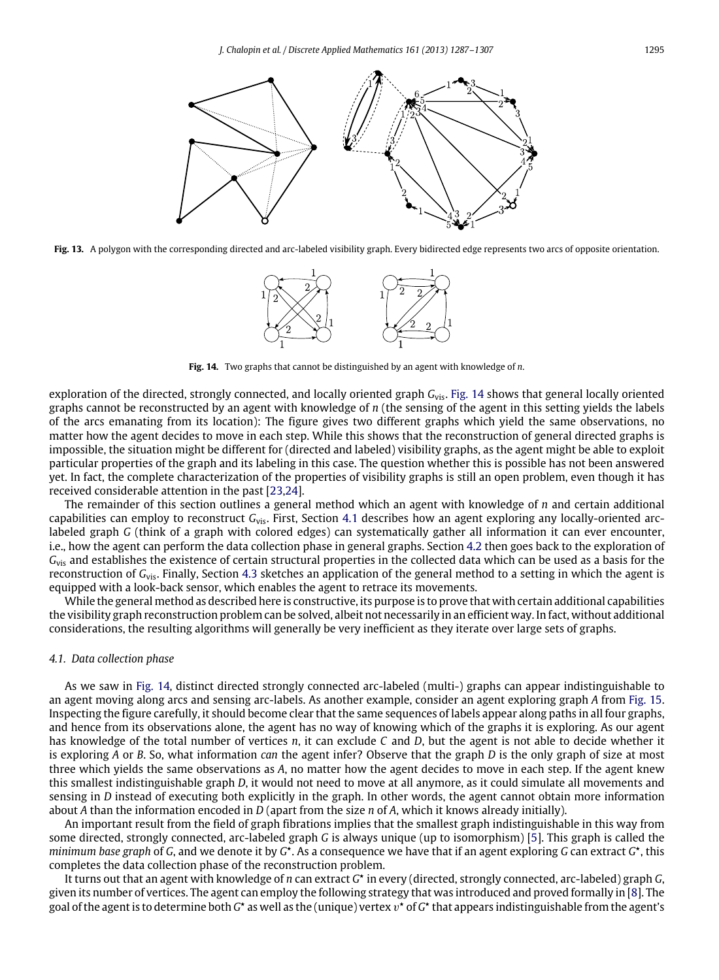<span id="page-8-0"></span>

<span id="page-8-1"></span>**Fig. 13.** A polygon with the corresponding directed and arc-labeled visibility graph. Every bidirected edge represents two arcs of opposite orientation.



**Fig. 14.** Two graphs that cannot be distinguished by an agent with knowledge of *n*.

exploration of the directed, strongly connected, and locally oriented graph *G*<sub>vis</sub>. [Fig. 14](#page-8-1) shows that general locally oriented graphs cannot be reconstructed by an agent with knowledge of *n* (the sensing of the agent in this setting yields the labels of the arcs emanating from its location): The figure gives two different graphs which yield the same observations, no matter how the agent decides to move in each step. While this shows that the reconstruction of general directed graphs is impossible, the situation might be different for (directed and labeled) visibility graphs, as the agent might be able to exploit particular properties of the graph and its labeling in this case. The question whether this is possible has not been answered yet. In fact, the complete characterization of the properties of visibility graphs is still an open problem, even though it has received considerable attention in the past [\[23](#page-20-4)[,24\]](#page-20-5).

The remainder of this section outlines a general method which an agent with knowledge of *n* and certain additional capabilities can employ to reconstruct *G*vis. First, Section [4.1](#page-8-2) describes how an agent exploring any locally-oriented arclabeled graph *G* (think of a graph with colored edges) can systematically gather all information it can ever encounter, i.e., how the agent can perform the data collection phase in general graphs. Section [4.2](#page-9-0) then goes back to the exploration of *G*vis and establishes the existence of certain structural properties in the collected data which can be used as a basis for the reconstruction of *G*vis. Finally, Section [4.3](#page-11-0) sketches an application of the general method to a setting in which the agent is equipped with a look-back sensor, which enables the agent to retrace its movements.

While the general method as described here is constructive, its purpose is to prove that with certain additional capabilities the visibility graph reconstruction problem can be solved, albeit not necessarily in an efficient way. In fact, without additional considerations, the resulting algorithms will generally be very inefficient as they iterate over large sets of graphs.

#### <span id="page-8-2"></span>*4.1. Data collection phase*

As we saw in [Fig. 14,](#page-8-1) distinct directed strongly connected arc-labeled (multi-) graphs can appear indistinguishable to an agent moving along arcs and sensing arc-labels. As another example, consider an agent exploring graph *A* from [Fig. 15.](#page-9-1) Inspecting the figure carefully, it should become clear that the same sequences of labels appear along paths in all four graphs, and hence from its observations alone, the agent has no way of knowing which of the graphs it is exploring. As our agent has knowledge of the total number of vertices *n*, it can exclude *C* and *D*, but the agent is not able to decide whether it is exploring *A* or *B*. So, what information *can* the agent infer? Observe that the graph *D* is the only graph of size at most three which yields the same observations as *A*, no matter how the agent decides to move in each step. If the agent knew this smallest indistinguishable graph *D*, it would not need to move at all anymore, as it could simulate all movements and sensing in *D* instead of executing both explicitly in the graph. In other words, the agent cannot obtain more information about *A* than the information encoded in *D* (apart from the size *n* of *A*, which it knows already initially).

An important result from the field of graph fibrations implies that the smallest graph indistinguishable in this way from some directed, strongly connected, arc-labeled graph *G* is always unique (up to isomorphism) [\[5\]](#page-19-1). This graph is called the *minimum base graph of G*, and we denote it by  $G^*$ . As a consequence we have that if an agent exploring G can extract  $G^*$ , this completes the data collection phase of the reconstruction problem.

It turns out that an agent with knowledge of *n* can extract  $G^{\star}$  in every (directed, strongly connected, arc-labeled) graph *G*, given its number of vertices. The agent can employ the following strategy that was introduced and proved formally in [\[8\]](#page-20-6). The goal of the agent is to determine both G\* as well as the (unique) vertex  $v^*$  of G\* that appears indistinguishable from the agent's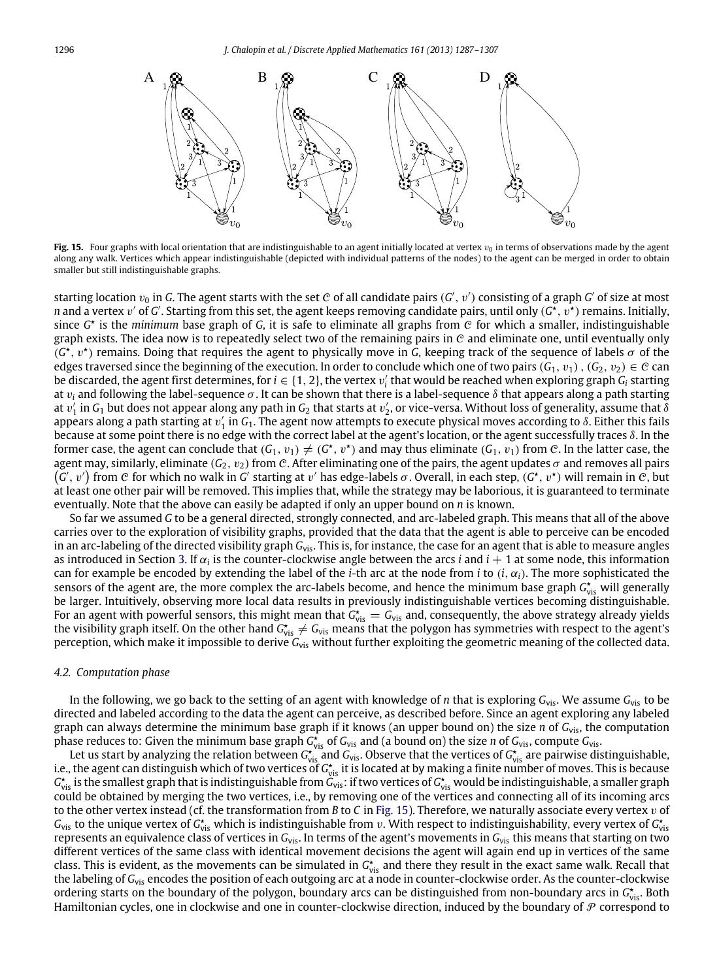<span id="page-9-1"></span>

**Fig. 15.** Four graphs with local orientation that are indistinguishable to an agent initially located at vertex  $v_0$  in terms of observations made by the agent along any walk. Vertices which appear indistinguishable (depicted with individual patterns of the nodes) to the agent can be merged in order to obtain smaller but still indistinguishable graphs.

starting location  $v_0$  in G. The agent starts with the set  $C$  of all candidate pairs  $(G', v')$  consisting of a graph  $G'$  of size at most *n* and a vertex  $v'$  of  $G'$ . Starting from this set, the agent keeps removing candidate pairs, until only  $(G^\star, v^\star)$  remains. Initially, since G<sup>\*</sup> is the *minimum* base graph of G, it is safe to eliminate all graphs from C for which a smaller, indistinguishable graph exists. The idea now is to repeatedly select two of the remaining pairs in  $C$  and eliminate one, until eventually only (G<sup>\*</sup>, v<sup>\*</sup>) remains. Doing that requires the agent to physically move in *G*, keeping track of the sequence of labels σ of the edges traversed since the beginning of the execution. In order to conclude which one of two pairs  $(G_1, v_1)$ ,  $(G_2, v_2) \in \mathcal{C}$  can be discarded, the agent first determines, for  $i\in\{1,2\}$ , the vertex  $v_i'$  that would be reached when exploring graph  $G_i$  starting at  $v_i$  and following the label-sequence  $\sigma$ . It can be shown that there is a label-sequence  $\delta$  that appears along a path starting at  $v_1'$  in  $G_1$  but does not appear along any path in  $G_2$  that starts at  $v_2'$ , or vice-versa. Without loss of generality, assume that  $\delta$ appears along a path starting at  $v'_1$  in  $G_1$ . The agent now attempts to execute physical moves according to  $\delta$ . Either this fails because at some point there is no edge with the correct label at the agent's location, or the agent successfully traces  $\delta$ . In the former case, the agent can conclude that  $(G_1, v_1) \neq (G^{\star}, v^{\star})$  and may thus eliminate  $(G_1, v_1)$  from C. In the latter case, the agent may, similarly, eliminate  $(G_2, v_2)$  from C. After eliminating one of the pairs, the agent updates  $\sigma$  and removes all pairs  $(G', v')$  from  $C$  for which no walk in  $G'$  starting at  $v'$  has edge-labels  $\sigma$ . Overall, in each step,  $(G', v^*)$  will remain in  $C$ , but at least one other pair will be removed. This implies that, while the strategy may be laborious, it is guaranteed to terminate eventually. Note that the above can easily be adapted if only an upper bound on *n* is known.

So far we assumed *G* to be a general directed, strongly connected, and arc-labeled graph. This means that all of the above carries over to the exploration of visibility graphs, provided that the data that the agent is able to perceive can be encoded in an arc-labeling of the directed visibility graph *G*vis. This is, for instance, the case for an agent that is able to measure angles as introduced in Section [3.](#page-2-0) If  $\alpha_i$  is the counter-clockwise angle between the arcs *i* and  $i + 1$  at some node, this information can for example be encoded by extending the label of the *i*-th arc at the node from *i* to  $(i, \alpha_i)$ . The more sophisticated the sensors of the agent are, the more complex the arc-labels become, and hence the minimum base graph  $G_{\text{vis}}^{\star}$  will generally be larger. Intuitively, observing more local data results in previously indistinguishable vertices becoming distinguishable. For an agent with powerful sensors, this might mean that  $G_{vis}^\star = G_{vis}$  and, consequently, the above strategy already yields the visibility graph itself. On the other hand  $G_{vis}^* \neq G_{vis}$  means that the polygon has symmetries with respect to the agent's perception, which make it impossible to derive *G*vis without further exploiting the geometric meaning of the collected data.

### <span id="page-9-0"></span>*4.2. Computation phase*

In the following, we go back to the setting of an agent with knowledge of *n* that is exploring *G*vis. We assume *G*vis to be directed and labeled according to the data the agent can perceive, as described before. Since an agent exploring any labeled graph can always determine the minimum base graph if it knows (an upper bound on) the size *n* of *G*vis, the computation phase reduces to: Given the minimum base graph  $G_{vis}^{\star}$  of  $G_{vis}$  and (a bound on) the size *n* of  $G_{vis}$ , compute  $G_{vis}$ .

Let us start by analyzing the relation between  $G_{vis}^*$  and  $G_{vis}$ . Observe that the vertices of  $G_{vis}^*$  are pairwise distinguishable, i.e., the agent can distinguish which of two vertices of G $\star_{\rm vis}$  it is located at by making a finite number of moves. This is because  $G_{vis}^{\star}$  is the smallest graph that is indistinguishable from  $\tilde{G}_{vis}$ : if two vertices of  $G_{vis}^{\star}$  would be indistinguishable, a smaller graph could be obtained by merging the two vertices, i.e., by removing one of the vertices and connecting all of its incoming arcs to the other vertex instead (cf. the transformation from *B* to *C* in [Fig. 15\)](#page-9-1). Therefore, we naturally associate every vertex v of  $G_{vis}$  to the unique vertex of  $G_{vis}^*$  which is indistinguishable from v. With respect to indistinguishability, every vertex of  $G_{vis}^*$ represents an equivalence class of vertices in *G*vis. In terms of the agent's movements in *G*vis this means that starting on two different vertices of the same class with identical movement decisions the agent will again end up in vertices of the same class. This is evident, as the movements can be simulated in  $G_{\text{vis}}^*$  and there they result in the exact same walk. Recall that the labeling of G<sub>vis</sub> encodes the position of each outgoing arc at a node in counter-clockwise order. As the counter-clockwise ordering starts on the boundary of the polygon, boundary arcs can be distinguished from non-boundary arcs in  $G_{vis}^{\star}$ . Both Hamiltonian cycles, one in clockwise and one in counter-clockwise direction, induced by the boundary of  $P$  correspond to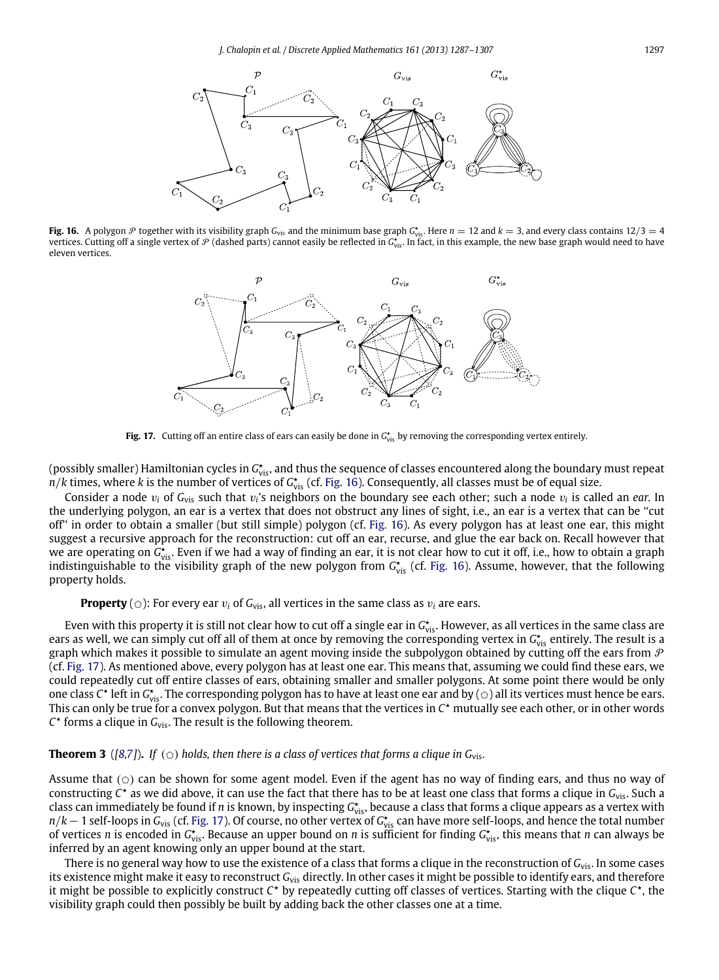<span id="page-10-0"></span>

<span id="page-10-1"></span>**Fig. 16.** A polygon  $P$  together with its visibility graph  $G_{vis}$  and the minimum base graph  $G_{vis}^*$ . Here  $n = 12$  and  $k = 3$ , and every class contains  $12/3 = 4$ vertices. Cutting off a single vertex of  $\mathcal P$  (dashed parts) cannot easily be reflected in  $\mathsf{G}_{\textsf{vis}}^*$ . In fact, in this example, the new base graph would need to have eleven vertices.



Fig. 17. Cutting off an entire class of ears can easily be done in  $G_{vis}^*$  by removing the corresponding vertex entirely.

(possibly smaller) Hamiltonian cycles in  $G_{vis}^\star$ , and thus the sequence of classes encountered along the boundary must repeat  $n/k$  times, where *k* is the number of vertices of  $G_{vis}^{\star}$  (cf. [Fig. 16\)](#page-10-0). Consequently, all classes must be of equal size.

Consider a node  $v_i$  of  $G_{vis}$  such that  $v_i$ 's neighbors on the boundary see each other; such a node  $v_i$  is called an *ear*. In the underlying polygon, an ear is a vertex that does not obstruct any lines of sight, i.e., an ear is a vertex that can be ''cut off'' in order to obtain a smaller (but still simple) polygon (cf. [Fig. 16\)](#page-10-0). As every polygon has at least one ear, this might suggest a recursive approach for the reconstruction: cut off an ear, recurse, and glue the ear back on. Recall however that we are operating on G<sub>vis</sub>. Even if we had a way of finding an ear, it is not clear how to cut it off, i.e., how to obtain a graph indistinguishable to the visibility graph of the new polygon from  $G_{vis}^{\star}$  (cf. [Fig. 16\)](#page-10-0). Assume, however, that the following property holds.

## **Property** ( $\odot$ ): For every ear  $v_i$  of  $G_{vis}$ , all vertices in the same class as  $v_i$  are ears.

Even with this property it is still not clear how to cut off a single ear in  $G_{\text{vis}}^\star$ . However, as all vertices in the same class are ears as well, we can simply cut off all of them at once by removing the corresponding vertex in  $G_{vis}^*$  entirely. The result is a graph which makes it possible to simulate an agent moving inside the subpolygon obtained by cutting off the ears from  $\mathcal P$ (cf. [Fig. 17\)](#page-10-1). As mentioned above, every polygon has at least one ear. This means that, assuming we could find these ears, we could repeatedly cut off entire classes of ears, obtaining smaller and smaller polygons. At some point there would be only one class  $C^*$  left in  $G_{\text{vis}}^*$ . The corresponding polygon has to have at least one ear and by  $(\circ)$  all its vertices must hence be ears. This can only be true for a convex polygon. But that means that the vertices in  $C^{\star}$  mutually see each other, or in other words *C* ⋆ forms a clique in *G*vis. The result is the following theorem.

## **Theorem 3** ([\[8](#page-20-6)[,7\]](#page-20-7)). If ( $\odot$ ) holds, then there is a class of vertices that forms a clique in G<sub>vis</sub>.

Assume that  $(\circ)$  can be shown for some agent model. Even if the agent has no way of finding ears, and thus no way of constructing C<sup>\*</sup> as we did above, it can use the fact that there has to be at least one class that forms a clique in G<sub>vis</sub>. Such a class can immediately be found if *n* is known, by inspecting  $G^\star_{\text{vis}}$ , because a class that forms a clique appears as a vertex with *n/k* − 1 self-loops in *G*<sub>vis</sub> (cf. [Fig. 17\)](#page-10-1). Of course, no other vertex of *G*<sub>vis</sub> can have more self-loops, and hence the total number of vertices *n* is encoded in  $G_{vis}^*$ . Because an upper bound on *n* is sufficient for finding  $G_{vis}^*$ , this means that *n* can always be inferred by an agent knowing only an upper bound at the start.

There is no general way how to use the existence of a class that forms a clique in the reconstruction of *G*vis. In some cases its existence might make it easy to reconstruct *G*vis directly. In other cases it might be possible to identify ears, and therefore it might be possible to explicitly construct  $C^*$  by repeatedly cutting off classes of vertices. Starting with the clique  $C^*$ , the visibility graph could then possibly be built by adding back the other classes one at a time.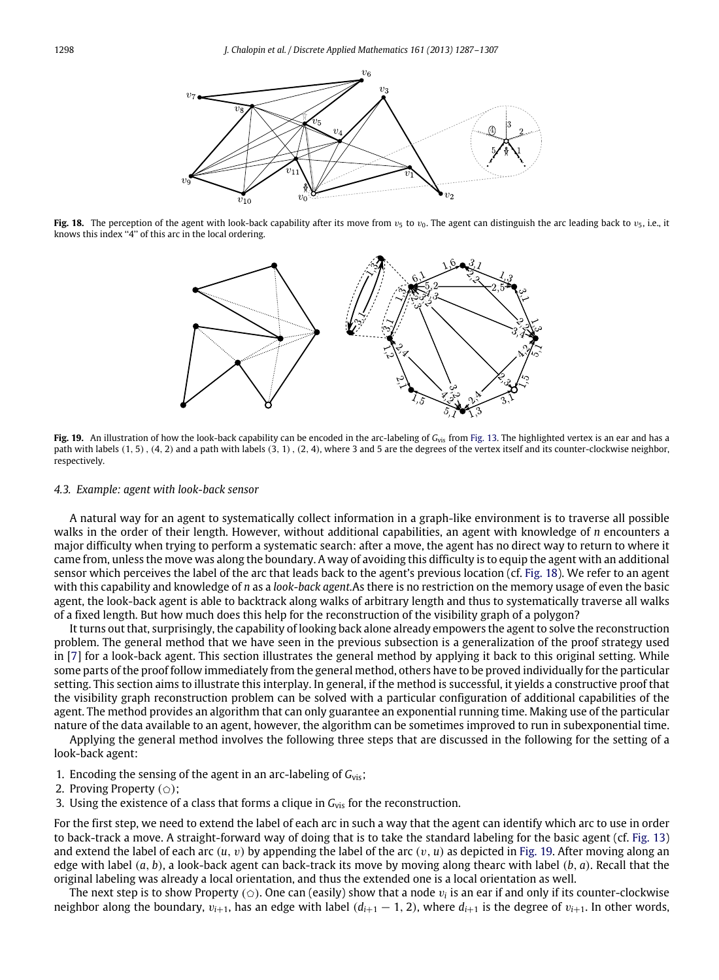<span id="page-11-1"></span>

<span id="page-11-2"></span>Fig. 18. The perception of the agent with look-back capability after its move from  $v_5$  to  $v_0$ . The agent can distinguish the arc leading back to  $v_5$ , i.e., it knows this index "4" of this arc in the local ordering.



Fig. 19. An illustration of how the look-back capability can be encoded in the arc-labeling of G<sub>vis</sub> from [Fig. 13.](#page-8-0) The highlighted vertex is an ear and has a path with labels (1, 5), (4, 2) and a path with labels (3, 1), (2, 4), where 3 and 5 are the degrees of the vertex itself and its counter-clockwise neighbor, respectively.

#### <span id="page-11-0"></span>*4.3. Example: agent with look-back sensor*

A natural way for an agent to systematically collect information in a graph-like environment is to traverse all possible walks in the order of their length. However, without additional capabilities, an agent with knowledge of *n* encounters a major difficulty when trying to perform a systematic search: after a move, the agent has no direct way to return to where it came from, unless the move was along the boundary. A way of avoiding this difficulty is to equip the agent with an additional sensor which perceives the label of the arc that leads back to the agent's previous location (cf. [Fig. 18\)](#page-11-1). We refer to an agent with this capability and knowledge of *n* as a *look-back agent.*As there is no restriction on the memory usage of even the basic agent, the look-back agent is able to backtrack along walks of arbitrary length and thus to systematically traverse all walks of a fixed length. But how much does this help for the reconstruction of the visibility graph of a polygon?

It turns out that, surprisingly, the capability of looking back alone already empowers the agent to solve the reconstruction problem. The general method that we have seen in the previous subsection is a generalization of the proof strategy used in [\[7\]](#page-20-7) for a look-back agent. This section illustrates the general method by applying it back to this original setting. While some parts of the proof follow immediately from the general method, others have to be proved individually for the particular setting. This section aims to illustrate this interplay. In general, if the method is successful, it yields a constructive proof that the visibility graph reconstruction problem can be solved with a particular configuration of additional capabilities of the agent. The method provides an algorithm that can only guarantee an exponential running time. Making use of the particular nature of the data available to an agent, however, the algorithm can be sometimes improved to run in subexponential time.

Applying the general method involves the following three steps that are discussed in the following for the setting of a look-back agent:

- 1. Encoding the sensing of the agent in an arc-labeling of *G*vis;
- 2. Proving Property  $(\circ)$ ;
- 3. Using the existence of a class that forms a clique in *G*vis for the reconstruction.

For the first step, we need to extend the label of each arc in such a way that the agent can identify which arc to use in order to back-track a move. A straight-forward way of doing that is to take the standard labeling for the basic agent (cf. [Fig. 13\)](#page-8-0) and extend the label of each arc  $(u, v)$  by appending the label of the arc  $(v, u)$  as depicted in [Fig. 19.](#page-11-2) After moving along an edge with label (*a*, *b*), a look-back agent can back-track its move by moving along thearc with label (*b*, *a*). Recall that the original labeling was already a local orientation, and thus the extended one is a local orientation as well.

The next step is to show Property  $(\circ)$ . One can (easily) show that a node  $v_i$  is an ear if and only if its counter-clockwise neighbor along the boundary,  $v_{i+1}$ , has an edge with label  $(d_{i+1} - 1, 2)$ , where  $d_{i+1}$  is the degree of  $v_{i+1}$ . In other words,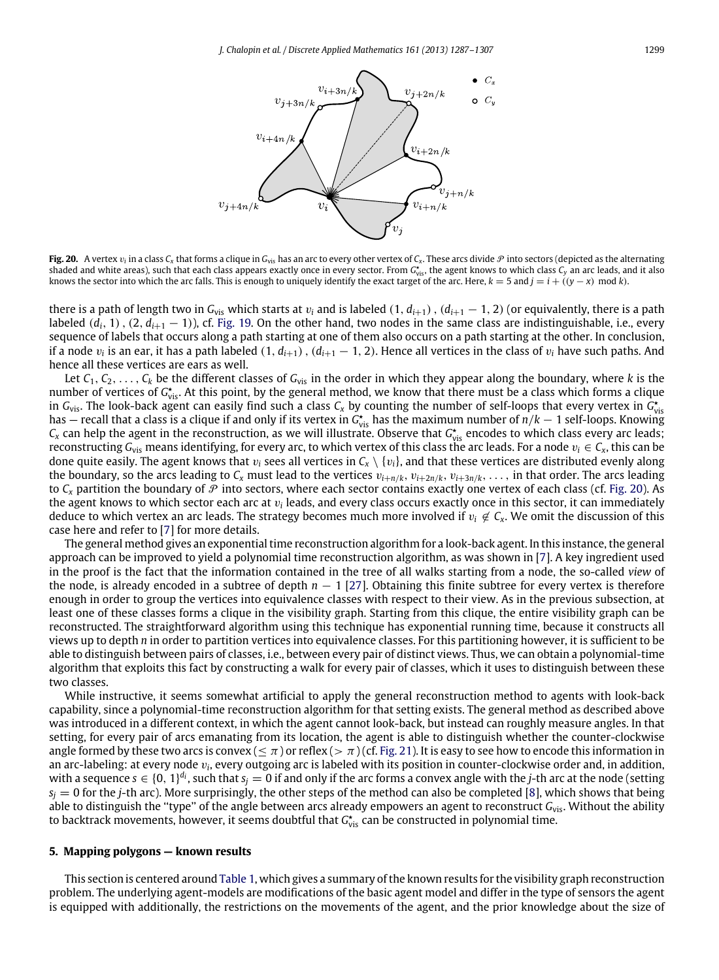<span id="page-12-1"></span>

**Fig. 20.** A vertex  $v_i$  in a class  $\mathcal{C}_\mathsf{x}$  that forms a clique in  $\mathcal{G}_\mathsf{vis}$  has an arc to every other vertex of  $\mathcal{C}_\mathsf{x}.$  These arcs divide  $\mathcal P$  into sectors (depicted as the alternating shaded and white areas), such that each class appears exactly once in every sector. From  $G_{\rm vis}^{\star}$ , the agent knows to which class  $C_y$  an arc leads, and it also knows the sector into which the arc falls. This is enough to uniquely identify the exact target of the arc. Here,  $k = 5$  and  $j = i + (y - x) \mod k$ .

there is a path of length two in  $G_{vis}$  which starts at  $v_i$  and is labeled  $(1, d_{i+1})$ ,  $(d_{i+1} - 1, 2)$  (or equivalently, there is a path labeled  $(d_i, 1)$ ,  $(2, d_{i+1} - 1)$ , cf. [Fig. 19.](#page-11-2) On the other hand, two nodes in the same class are indistinguishable, i.e., every sequence of labels that occurs along a path starting at one of them also occurs on a path starting at the other. In conclusion, if a node  $v_i$  is an ear, it has a path labeled  $(1, d_{i+1})$  ,  $(d_{i+1} - 1, 2)$ . Hence all vertices in the class of  $v_i$  have such paths. And hence all these vertices are ears as well.

Let  $C_1, C_2, \ldots, C_k$  be the different classes of  $G_{vis}$  in the order in which they appear along the boundary, where *k* is the number of vertices of G<sub>vis</sub>. At this point, by the general method, we know that there must be a class which forms a clique in  $G_{vis}$ . The look-back agent can easily find such a class  $C_x$  by counting the number of self-loops that every vertex in  $G_{vis}^{\star}$ has – recall that a class is a clique if and only if its vertex in  $G_{vis}^*$  has the maximum number of  $n/k - 1$  self-loops. Knowing  $C_x$  can help the agent in the reconstruction, as we will illustrate. Observe that  $G_{vis}^{\star}$  encodes to which class every arc leads; reconstructing  $G_{vis}$  means identifying, for every arc, to which vertex of this class the arc leads. For a node  $v_i \in C_x$ , this can be done quite easily. The agent knows that  $v_i$  sees all vertices in  $C_x \setminus \{v_i\}$ , and that these vertices are distributed evenly along the boundary, so the arcs leading to  $C_x$  must lead to the vertices  $v_{i+n/k}, v_{i+2n/k}, v_{i+3n/k}, \ldots$ , in that order. The arcs leading to  $C_x$  partition the boundary of  $P$  into sectors, where each sector contains exactly one vertex of each class (cf. [Fig. 20\)](#page-12-1). As the agent knows to which sector each arc at  $v_i$  leads, and every class occurs exactly once in this sector, it can immediately deduce to which vertex an arc leads. The strategy becomes much more involved if  $v_i \not\in C_x$ . We omit the discussion of this case here and refer to [\[7\]](#page-20-7) for more details.

The general method gives an exponential time reconstruction algorithm for a look-back agent. In this instance, the general approach can be improved to yield a polynomial time reconstruction algorithm, as was shown in [\[7\]](#page-20-7). A key ingredient used in the proof is the fact that the information contained in the tree of all walks starting from a node, the so-called *view* of the node, is already encoded in a subtree of depth *n* − 1 [\[27\]](#page-20-8). Obtaining this finite subtree for every vertex is therefore enough in order to group the vertices into equivalence classes with respect to their view. As in the previous subsection, at least one of these classes forms a clique in the visibility graph. Starting from this clique, the entire visibility graph can be reconstructed. The straightforward algorithm using this technique has exponential running time, because it constructs all views up to depth *n* in order to partition vertices into equivalence classes. For this partitioning however, it is sufficient to be able to distinguish between pairs of classes, i.e., between every pair of distinct views. Thus, we can obtain a polynomial-time algorithm that exploits this fact by constructing a walk for every pair of classes, which it uses to distinguish between these two classes.

While instructive, it seems somewhat artificial to apply the general reconstruction method to agents with look-back capability, since a polynomial-time reconstruction algorithm for that setting exists. The general method as described above was introduced in a different context, in which the agent cannot look-back, but instead can roughly measure angles. In that setting, for every pair of arcs emanating from its location, the agent is able to distinguish whether the counter-clockwise angle formed by these two arcs is convex ( $\leq \pi$ ) or reflex ( $> \pi$ ) (cf. [Fig. 21\)](#page-13-0). It is easy to see how to encode this information in an arc-labeling: at every node  $v_i$ , every outgoing arc is labeled with its position in counter-clockwise order and, in addition, with a sequence  $s\in\{0,\,1\}^{d_i}$ , such that  $s_j=0$  if and only if the arc forms a convex angle with the *j*-th arc at the node (setting  $s_i = 0$  for the *j*-th arc). More surprisingly, the other steps of the method can also be completed [\[8\]](#page-20-6), which shows that being able to distinguish the ''type'' of the angle between arcs already empowers an agent to reconstruct *G*vis. Without the ability to backtrack movements, however, it seems doubtful that  $G_{\text{vis}}^{\star}$  can be constructed in polynomial time.

#### <span id="page-12-0"></span>**5. Mapping polygons — known results**

This section is centered around [Table 1,](#page-13-1) which gives a summary of the known results for the visibility graph reconstruction problem. The underlying agent-models are modifications of the basic agent model and differ in the type of sensors the agent is equipped with additionally, the restrictions on the movements of the agent, and the prior knowledge about the size of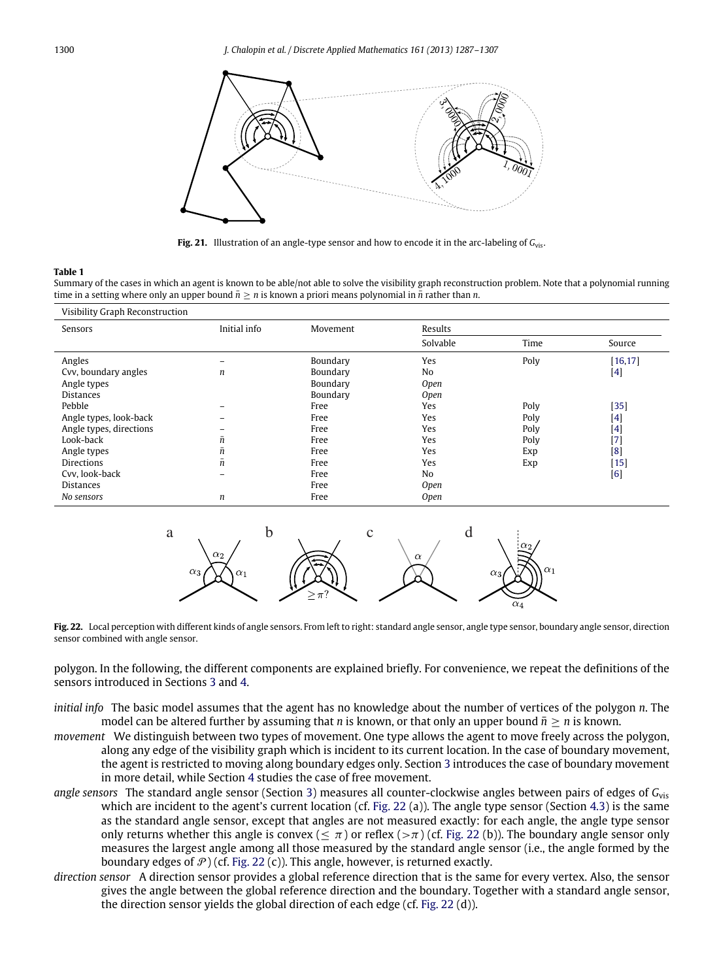<span id="page-13-0"></span>

Fig. 21. Illustration of an angle-type sensor and how to encode it in the arc-labeling of G<sub>vis</sub>.

#### <span id="page-13-1"></span>**Table 1**

Summary of the cases in which an agent is known to be able/not able to solve the visibility graph reconstruction problem. Note that a polynomial running time in a setting where only an upper bound  $\bar{n} \ge n$  is known a priori means polynomial in  $\bar{n}$  rather than *n*.

| Visibility Graph Reconstruction |                          |          |          |      |          |
|---------------------------------|--------------------------|----------|----------|------|----------|
| Sensors                         | Initial info             | Movement | Results  |      |          |
|                                 |                          |          | Solvable | Time | Source   |
| Angles                          | -                        | Boundary | Yes      | Poly | [16, 17] |
| Cvv, boundary angles            | n                        | Boundary | No       |      | $[4]$    |
| Angle types                     |                          | Boundary | Open     |      |          |
| <b>Distances</b>                |                          | Boundary | Open     |      |          |
| Pebble                          | $\overline{\phantom{0}}$ | Free     | Yes      | Poly | [35]     |
| Angle types, look-back          | $\overline{\phantom{0}}$ | Free     | Yes      | Poly | [4]      |
| Angle types, directions         | -                        | Free     | Yes      | Poly |          |
| Look-back                       | ñ                        | Free     | Yes      | Poly | $^{[7]}$ |
| Angle types                     | ñ                        | Free     | Yes      | Exp  | [8]      |
| Directions                      | ñ                        | Free     | Yes      | Exp  | $[15]$   |
| Cvv, look-back                  | $\overline{\phantom{0}}$ | Free     | No       |      | [6]      |
| <b>Distances</b>                |                          | Free     | Open     |      |          |
| No sensors                      | $\boldsymbol{n}$         | Free     | Open     |      |          |

<span id="page-13-2"></span>

Fig. 22. Local perception with different kinds of angle sensors. From left to right: standard angle sensor, angle type sensor, boundary angle sensor, direction sensor combined with angle sensor.

polygon. In the following, the different components are explained briefly. For convenience, we repeat the definitions of the sensors introduced in Sections [3](#page-2-0) and [4.](#page-7-0)

- *initial info* The basic model assumes that the agent has no knowledge about the number of vertices of the polygon *n*. The model can be altered further by assuming that *n* is known, or that only an upper bound  $\bar{n} > n$  is known.
- *movement* We distinguish between two types of movement. One type allows the agent to move freely across the polygon, along any edge of the visibility graph which is incident to its current location. In the case of boundary movement, the agent is restricted to moving along boundary edges only. Section [3](#page-2-0) introduces the case of boundary movement in more detail, while Section [4](#page-7-0) studies the case of free movement.
- *angle sensors* The standard angle sensor (Section [3\)](#page-2-0) measures all counter-clockwise angles between pairs of edges of *G*vis which are incident to the agent's current location (cf. [Fig. 22](#page-13-2) (a)). The angle type sensor (Section [4.3\)](#page-11-0) is the same as the standard angle sensor, except that angles are not measured exactly: for each angle, the angle type sensor only returns whether this angle is convex ( $\leq \pi$ ) or reflex ( $>\pi$ ) (cf. [Fig. 22](#page-13-2) (b)). The boundary angle sensor only measures the largest angle among all those measured by the standard angle sensor (i.e., the angle formed by the boundary edges of  $P$  ) (cf. [Fig. 22](#page-13-2) (c)). This angle, however, is returned exactly.
- *direction sensor* A direction sensor provides a global reference direction that is the same for every vertex. Also, the sensor gives the angle between the global reference direction and the boundary. Together with a standard angle sensor, the direction sensor yields the global direction of each edge (cf. [Fig. 22](#page-13-2) (d)).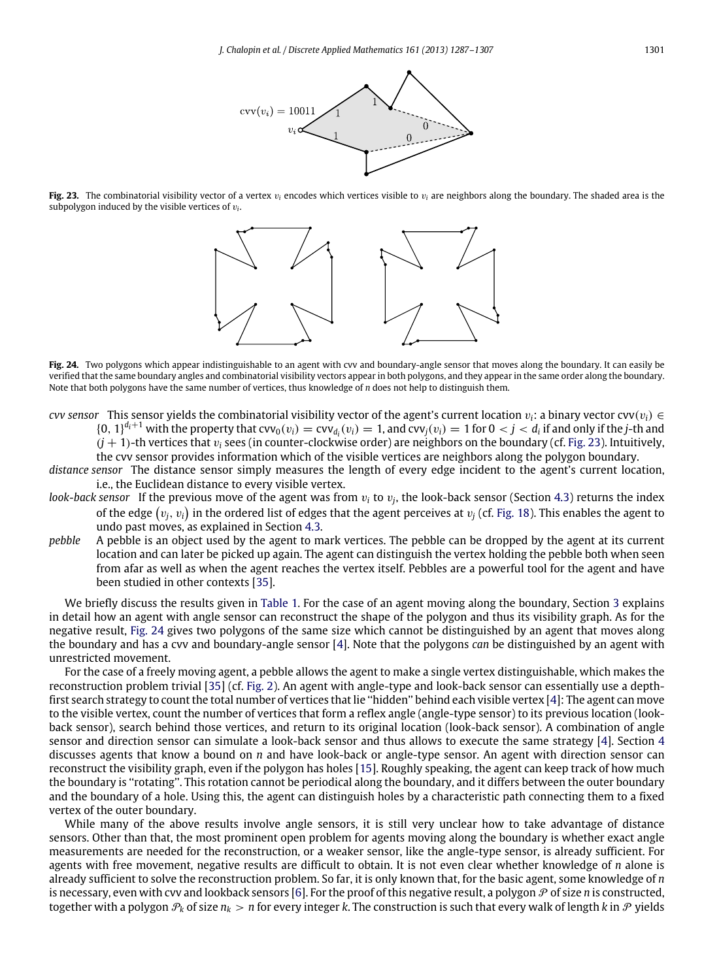

<span id="page-14-1"></span><span id="page-14-0"></span>**Fig. 23.** The combinatorial visibility vector of a vertex  $v_i$  encodes which vertices visible to  $v_i$  are neighbors along the boundary. The shaded area is the subpolygon induced by the visible vertices of  $v_i$ .



Fig. 24. Two polygons which appear indistinguishable to an agent with cvv and boundary-angle sensor that moves along the boundary. It can easily be verified that the same boundary angles and combinatorial visibility vectors appear in both polygons, and they appear in the same order along the boundary. Note that both polygons have the same number of vertices, thus knowledge of *n* does not help to distinguish them.

- *cvv sensor* This sensor yields the combinatorial visibility vector of the agent's current location  $v_i$ : a binary vector cvv( $v_i$ ) ∈  ${0, 1}^{d_i+1}$  with the property that  $cvv_0(v_i) = cvv_{d_i}(v_i) = 1$ , and  $cvy_j(v_i) = 1$  for  $0 < j < d_i$  if and only if the *j*-th and
	- $(j + 1)$ -th vertices that  $v_i$  sees (in counter-clockwise order) are neighbors on the boundary (cf. [Fig. 23\)](#page-14-0). Intuitively,

the cvv sensor provides information which of the visible vertices are neighbors along the polygon boundary.

*distance sensor* The distance sensor simply measures the length of every edge incident to the agent's current location, i.e., the Euclidean distance to every visible vertex.

- *look-back sensor* If the previous move of the agent was from v*<sup>i</sup>* to v*<sup>j</sup>* , the look-back sensor (Section [4.3\)](#page-11-0) returns the index of the edge  $(v_j,v_i)$  in the ordered list of edges that the agent perceives at  $v_j$  (cf. [Fig. 18\)](#page-11-1). This enables the agent to undo past moves, as explained in Section [4.3.](#page-11-0)
- *pebble* A pebble is an object used by the agent to mark vertices. The pebble can be dropped by the agent at its current location and can later be picked up again. The agent can distinguish the vertex holding the pebble both when seen from afar as well as when the agent reaches the vertex itself. Pebbles are a powerful tool for the agent and have been studied in other contexts [\[35\]](#page-20-9).

We briefly discuss the results given in [Table 1.](#page-13-1) For the case of an agent moving along the boundary, Section [3](#page-2-0) explains in detail how an agent with angle sensor can reconstruct the shape of the polygon and thus its visibility graph. As for the negative result, [Fig. 24](#page-14-1) gives two polygons of the same size which cannot be distinguished by an agent that moves along the boundary and has a cvv and boundary-angle sensor [\[4\]](#page-19-0). Note that the polygons *can* be distinguished by an agent with unrestricted movement.

For the case of a freely moving agent, a pebble allows the agent to make a single vertex distinguishable, which makes the reconstruction problem trivial [\[35\]](#page-20-9) (cf. [Fig. 2\)](#page-2-1). An agent with angle-type and look-back sensor can essentially use a depthfirst search strategy to count the total number of vertices that lie ''hidden'' behind each visible vertex [\[4\]](#page-19-0): The agent can move to the visible vertex, count the number of vertices that form a reflex angle (angle-type sensor) to its previous location (lookback sensor), search behind those vertices, and return to its original location (look-back sensor). A combination of angle sensor and direction sensor can simulate a look-back sensor and thus allows to execute the same strategy [\[4\]](#page-19-0). Section [4](#page-7-0) discusses agents that know a bound on *n* and have look-back or angle-type sensor. An agent with direction sensor can reconstruct the visibility graph, even if the polygon has holes [\[15\]](#page-20-10). Roughly speaking, the agent can keep track of how much the boundary is ''rotating''. This rotation cannot be periodical along the boundary, and it differs between the outer boundary and the boundary of a hole. Using this, the agent can distinguish holes by a characteristic path connecting them to a fixed vertex of the outer boundary.

While many of the above results involve angle sensors, it is still very unclear how to take advantage of distance sensors. Other than that, the most prominent open problem for agents moving along the boundary is whether exact angle measurements are needed for the reconstruction, or a weaker sensor, like the angle-type sensor, is already sufficient. For agents with free movement, negative results are difficult to obtain. It is not even clear whether knowledge of *n* alone is already sufficient to solve the reconstruction problem. So far, it is only known that, for the basic agent, some knowledge of *n* is necessary, even with cvv and lookback sensors [\[6\]](#page-20-11). For the proof of this negative result, a polygon  $P$  of size *n* is constructed, together with a polygon  $P_k$  of size  $n_k > n$  for every integer *k*. The construction is such that every walk of length *k* in P yields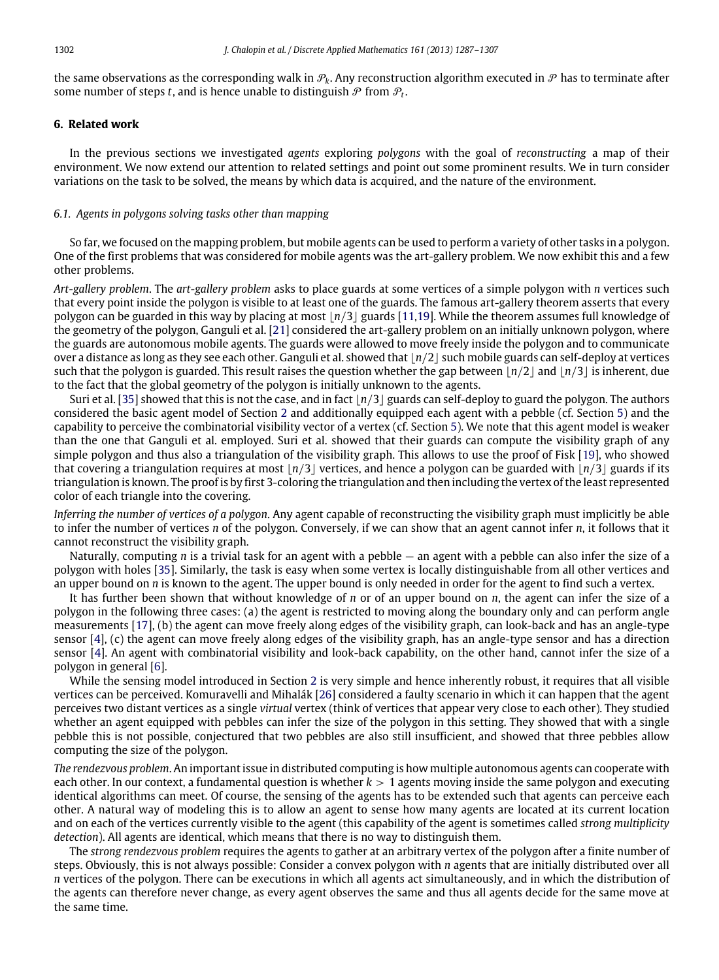the same observations as the corresponding walk in  $P_k$ . Any reconstruction algorithm executed in  $P$  has to terminate after some number of steps *t*, and is hence unable to distinguish  $\mathscr P$  from  $\mathscr P_t.$ 

## <span id="page-15-0"></span>**6. Related work**

In the previous sections we investigated *agents* exploring *polygons* with the goal of *reconstructing* a map of their environment. We now extend our attention to related settings and point out some prominent results. We in turn consider variations on the task to be solved, the means by which data is acquired, and the nature of the environment.

#### *6.1. Agents in polygons solving tasks other than mapping*

So far, we focused on the mapping problem, but mobile agents can be used to perform a variety of other tasks in a polygon. One of the first problems that was considered for mobile agents was the art-gallery problem. We now exhibit this and a few other problems.

*Art-gallery problem*. The *art-gallery problem* asks to place guards at some vertices of a simple polygon with *n* vertices such that every point inside the polygon is visible to at least one of the guards. The famous art-gallery theorem asserts that every polygon can be guarded in this way by placing at most ⌊*n*/3⌋ guards [\[11,](#page-20-12)[19\]](#page-20-13). While the theorem assumes full knowledge of the geometry of the polygon, Ganguli et al. [\[21\]](#page-20-14) considered the art-gallery problem on an initially unknown polygon, where the guards are autonomous mobile agents. The guards were allowed to move freely inside the polygon and to communicate over a distance as long as they see each other. Ganguli et al. showed that  $\lfloor n/2 \rfloor$  such mobile guards can self-deploy at vertices such that the polygon is guarded. This result raises the question whether the gap between  $\lfloor n/2 \rfloor$  and  $\lfloor n/3 \rfloor$  is inherent, due to the fact that the global geometry of the polygon is initially unknown to the agents.

Suri et al. [\[35\]](#page-20-9) showed that this is not the case, and in fact  $\lfloor n/3 \rfloor$  guards can self-deploy to guard the polygon. The authors considered the basic agent model of Section [2](#page-1-0) and additionally equipped each agent with a pebble (cf. Section [5\)](#page-12-0) and the capability to perceive the combinatorial visibility vector of a vertex (cf. Section [5\)](#page-12-0). We note that this agent model is weaker than the one that Ganguli et al. employed. Suri et al. showed that their guards can compute the visibility graph of any simple polygon and thus also a triangulation of the visibility graph. This allows to use the proof of Fisk [\[19\]](#page-20-13), who showed that covering a triangulation requires at most  $\lfloor n/3 \rfloor$  vertices, and hence a polygon can be guarded with  $\lfloor n/3 \rfloor$  guards if its triangulation is known. The proof is by first 3-coloring the triangulation and then including the vertex of the least represented color of each triangle into the covering.

*Inferring the number of vertices of a polygon*. Any agent capable of reconstructing the visibility graph must implicitly be able to infer the number of vertices *n* of the polygon. Conversely, if we can show that an agent cannot infer *n*, it follows that it cannot reconstruct the visibility graph.

Naturally, computing *n* is a trivial task for an agent with a pebble — an agent with a pebble can also infer the size of a polygon with holes [\[35\]](#page-20-9). Similarly, the task is easy when some vertex is locally distinguishable from all other vertices and an upper bound on *n* is known to the agent. The upper bound is only needed in order for the agent to find such a vertex.

It has further been shown that without knowledge of *n* or of an upper bound on *n*, the agent can infer the size of a polygon in the following three cases: (a) the agent is restricted to moving along the boundary only and can perform angle measurements [\[17\]](#page-20-2), (b) the agent can move freely along edges of the visibility graph, can look-back and has an angle-type sensor [\[4\]](#page-19-0), (c) the agent can move freely along edges of the visibility graph, has an angle-type sensor and has a direction sensor [\[4\]](#page-19-0). An agent with combinatorial visibility and look-back capability, on the other hand, cannot infer the size of a polygon in general [\[6\]](#page-20-11).

While the sensing model introduced in Section [2](#page-1-0) is very simple and hence inherently robust, it requires that all visible vertices can be perceived. Komuravelli and Mihalák [\[26\]](#page-20-15) considered a faulty scenario in which it can happen that the agent perceives two distant vertices as a single *virtual* vertex (think of vertices that appear very close to each other). They studied whether an agent equipped with pebbles can infer the size of the polygon in this setting. They showed that with a single pebble this is not possible, conjectured that two pebbles are also still insufficient, and showed that three pebbles allow computing the size of the polygon.

*The rendezvous problem*. An important issue in distributed computing is how multiple autonomous agents can cooperate with each other. In our context, a fundamental question is whether *k* > 1 agents moving inside the same polygon and executing identical algorithms can meet. Of course, the sensing of the agents has to be extended such that agents can perceive each other. A natural way of modeling this is to allow an agent to sense how many agents are located at its current location and on each of the vertices currently visible to the agent (this capability of the agent is sometimes called *strong multiplicity detection*). All agents are identical, which means that there is no way to distinguish them.

The *strong rendezvous problem* requires the agents to gather at an arbitrary vertex of the polygon after a finite number of steps. Obviously, this is not always possible: Consider a convex polygon with *n* agents that are initially distributed over all *n* vertices of the polygon. There can be executions in which all agents act simultaneously, and in which the distribution of the agents can therefore never change, as every agent observes the same and thus all agents decide for the same move at the same time.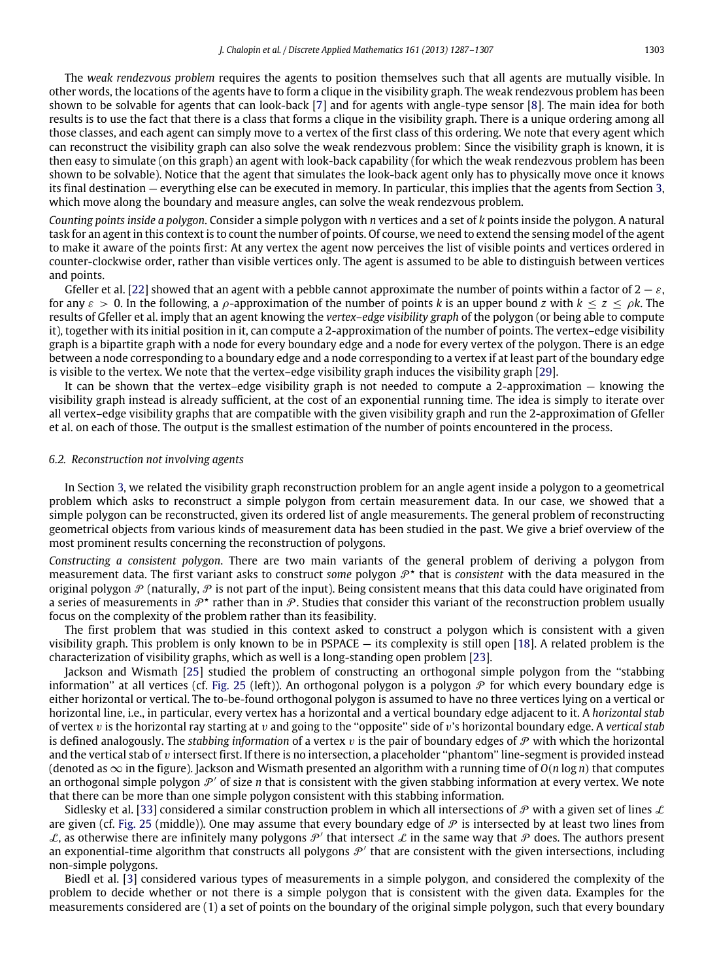The *weak rendezvous problem* requires the agents to position themselves such that all agents are mutually visible. In other words, the locations of the agents have to form a clique in the visibility graph. The weak rendezvous problem has been shown to be solvable for agents that can look-back [\[7\]](#page-20-7) and for agents with angle-type sensor [\[8\]](#page-20-6). The main idea for both results is to use the fact that there is a class that forms a clique in the visibility graph. There is a unique ordering among all those classes, and each agent can simply move to a vertex of the first class of this ordering. We note that every agent which can reconstruct the visibility graph can also solve the weak rendezvous problem: Since the visibility graph is known, it is then easy to simulate (on this graph) an agent with look-back capability (for which the weak rendezvous problem has been shown to be solvable). Notice that the agent that simulates the look-back agent only has to physically move once it knows its final destination — everything else can be executed in memory. In particular, this implies that the agents from Section [3,](#page-2-0) which move along the boundary and measure angles, can solve the weak rendezvous problem.

*Counting points inside a polygon*. Consider a simple polygon with *n* vertices and a set of *k* points inside the polygon. A natural task for an agent in this context is to count the number of points. Of course, we need to extend the sensing model of the agent to make it aware of the points first: At any vertex the agent now perceives the list of visible points and vertices ordered in counter-clockwise order, rather than visible vertices only. The agent is assumed to be able to distinguish between vertices and points.

Gfeller et al. [\[22\]](#page-20-16) showed that an agent with a pebble cannot approximate the number of points within a factor of  $2 - \varepsilon$ , for any ε > 0. In the following, a ρ-approximation of the number of points *k* is an upper bound *z* with *k* ≤ *z* ≤ ρ*k*. The results of Gfeller et al. imply that an agent knowing the *vertex–edge visibility graph* of the polygon (or being able to compute it), together with its initial position in it, can compute a 2-approximation of the number of points. The vertex–edge visibility graph is a bipartite graph with a node for every boundary edge and a node for every vertex of the polygon. There is an edge between a node corresponding to a boundary edge and a node corresponding to a vertex if at least part of the boundary edge is visible to the vertex. We note that the vertex–edge visibility graph induces the visibility graph [\[29\]](#page-20-17).

It can be shown that the vertex–edge visibility graph is not needed to compute a 2-approximation — knowing the visibility graph instead is already sufficient, at the cost of an exponential running time. The idea is simply to iterate over all vertex–edge visibility graphs that are compatible with the given visibility graph and run the 2-approximation of Gfeller et al. on each of those. The output is the smallest estimation of the number of points encountered in the process.

#### *6.2. Reconstruction not involving agents*

In Section [3,](#page-2-0) we related the visibility graph reconstruction problem for an angle agent inside a polygon to a geometrical problem which asks to reconstruct a simple polygon from certain measurement data. In our case, we showed that a simple polygon can be reconstructed, given its ordered list of angle measurements. The general problem of reconstructing geometrical objects from various kinds of measurement data has been studied in the past. We give a brief overview of the most prominent results concerning the reconstruction of polygons.

*Constructing a consistent polygon*. There are two main variants of the general problem of deriving a polygon from measurement data. The first variant asks to construct some polygon  $\mathcal{P}^\star$  that is consistent with the data measured in the original polygon  $P$  (naturally,  $P$  is not part of the input). Being consistent means that this data could have originated from a series of measurements in  $\mathcal{P}^\star$  rather than in  $\mathcal{P}$ . Studies that consider this variant of the reconstruction problem usually focus on the complexity of the problem rather than its feasibility.

The first problem that was studied in this context asked to construct a polygon which is consistent with a given visibility graph. This problem is only known to be in PSPACE — its complexity is still open [\[18\]](#page-20-18). A related problem is the characterization of visibility graphs, which as well is a long-standing open problem [\[23\]](#page-20-4).

Jackson and Wismath [\[25\]](#page-20-19) studied the problem of constructing an orthogonal simple polygon from the ''stabbing information" at all vertices (cf. [Fig. 25](#page-17-0) (left)). An orthogonal polygon is a polygon  $P$  for which every boundary edge is either horizontal or vertical. The to-be-found orthogonal polygon is assumed to have no three vertices lying on a vertical or horizontal line, i.e., in particular, every vertex has a horizontal and a vertical boundary edge adjacent to it. A *horizontal stab* of vertex v is the horizontal ray starting at v and going to the ''opposite'' side of v's horizontal boundary edge. A *vertical stab* is defined analogously. The *stabbing information* of a vertex v is the pair of boundary edges of P with which the horizontal and the vertical stab of v intersect first. If there is no intersection, a placeholder ''phantom'' line-segment is provided instead (denoted as  $\infty$  in the figure). Jackson and Wismath presented an algorithm with a running time of  $O(n \log n)$  that computes an orthogonal simple polygon  $P'$  of size *n* that is consistent with the given stabbing information at every vertex. We note that there can be more than one simple polygon consistent with this stabbing information.

Sidlesky et al. [\[33\]](#page-20-20) considered a similar construction problem in which all intersections of  $P$  with a given set of lines  $L$ are given (cf. [Fig. 25](#page-17-0) (middle)). One may assume that every boundary edge of  $P$  is intersected by at least two lines from  $\mathcal L$ , as otherwise there are infinitely many polygons  $\mathcal P'$  that intersect  $\mathcal L$  in the same way that  $\mathcal P$  does. The authors present an exponential-time algorithm that constructs all polygons  $\mathcal{P}'$  that are consistent with the given intersections, including non-simple polygons.

Biedl et al. [\[3\]](#page-19-2) considered various types of measurements in a simple polygon, and considered the complexity of the problem to decide whether or not there is a simple polygon that is consistent with the given data. Examples for the measurements considered are (1) a set of points on the boundary of the original simple polygon, such that every boundary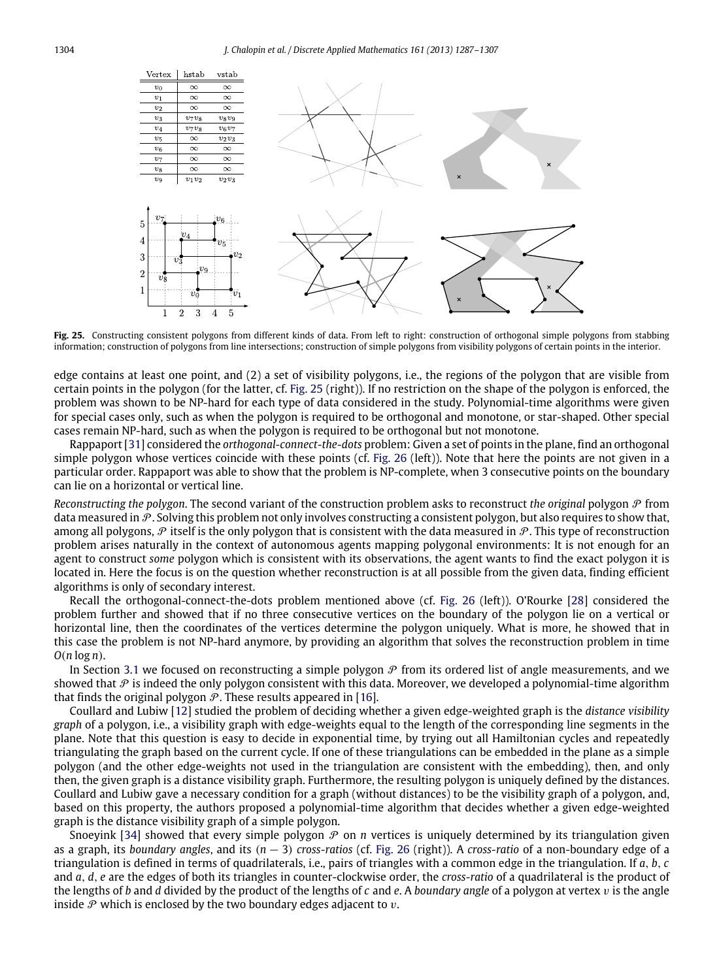<span id="page-17-0"></span>

**Fig. 25.** Constructing consistent polygons from different kinds of data. From left to right: construction of orthogonal simple polygons from stabbing information; construction of polygons from line intersections; construction of simple polygons from visibility polygons of certain points in the interior.

edge contains at least one point, and (2) a set of visibility polygons, i.e., the regions of the polygon that are visible from certain points in the polygon (for the latter, cf. [Fig. 25](#page-17-0) (right)). If no restriction on the shape of the polygon is enforced, the problem was shown to be NP-hard for each type of data considered in the study. Polynomial-time algorithms were given for special cases only, such as when the polygon is required to be orthogonal and monotone, or star-shaped. Other special cases remain NP-hard, such as when the polygon is required to be orthogonal but not monotone.

Rappaport [\[31\]](#page-20-21) considered the *orthogonal-connect-the-dots* problem: Given a set of points in the plane, find an orthogonal simple polygon whose vertices coincide with these points (cf. [Fig. 26](#page-18-0) (left)). Note that here the points are not given in a particular order. Rappaport was able to show that the problem is NP-complete, when 3 consecutive points on the boundary can lie on a horizontal or vertical line.

*Reconstructing the polygon*. The second variant of the construction problem asks to reconstruct *the original* polygon P from data measured in  $\mathcal{P}$ . Solving this problem not only involves constructing a consistent polygon, but also requires to show that, among all polygons,  $\mathcal P$  itself is the only polygon that is consistent with the data measured in  $\mathcal P$ . This type of reconstruction problem arises naturally in the context of autonomous agents mapping polygonal environments: It is not enough for an agent to construct *some* polygon which is consistent with its observations, the agent wants to find the exact polygon it is located in. Here the focus is on the question whether reconstruction is at all possible from the given data, finding efficient algorithms is only of secondary interest.

Recall the orthogonal-connect-the-dots problem mentioned above (cf. [Fig. 26](#page-18-0) (left)). O'Rourke [\[28\]](#page-20-22) considered the problem further and showed that if no three consecutive vertices on the boundary of the polygon lie on a vertical or horizontal line, then the coordinates of the vertices determine the polygon uniquely. What is more, he showed that in this case the problem is not NP-hard anymore, by providing an algorithm that solves the reconstruction problem in time *O*(*n* log *n*).

In Section [3.1](#page-4-2) we focused on reconstructing a simple polygon  $\mathcal P$  from its ordered list of angle measurements, and we showed that  $P$  is indeed the only polygon consistent with this data. Moreover, we developed a polynomial-time algorithm that finds the original polygon  $P$ . These results appeared in [\[16\]](#page-20-1).

Coullard and Lubiw [\[12\]](#page-20-23) studied the problem of deciding whether a given edge-weighted graph is the *distance visibility graph* of a polygon, i.e., a visibility graph with edge-weights equal to the length of the corresponding line segments in the plane. Note that this question is easy to decide in exponential time, by trying out all Hamiltonian cycles and repeatedly triangulating the graph based on the current cycle. If one of these triangulations can be embedded in the plane as a simple polygon (and the other edge-weights not used in the triangulation are consistent with the embedding), then, and only then, the given graph is a distance visibility graph. Furthermore, the resulting polygon is uniquely defined by the distances. Coullard and Lubiw gave a necessary condition for a graph (without distances) to be the visibility graph of a polygon, and, based on this property, the authors proposed a polynomial-time algorithm that decides whether a given edge-weighted graph is the distance visibility graph of a simple polygon.

Snoeyink [\[34\]](#page-20-24) showed that every simple polygon  $P$  on  $n$  vertices is uniquely determined by its triangulation given as a graph, its *boundary angles*, and its (*n* − 3) *cross-ratios* (cf. [Fig. 26](#page-18-0) (right)). A *cross-ratio* of a non-boundary edge of a triangulation is defined in terms of quadrilaterals, i.e., pairs of triangles with a common edge in the triangulation. If *a*, *b*, *c* and *a*, *d*, *e* are the edges of both its triangles in counter-clockwise order, the *cross-ratio* of a quadrilateral is the product of the lengths of *b* and *d* divided by the product of the lengths of *c* and *e*. A *boundary angle* of a polygon at vertex v is the angle inside  $P$  which is enclosed by the two boundary edges adjacent to  $v$ .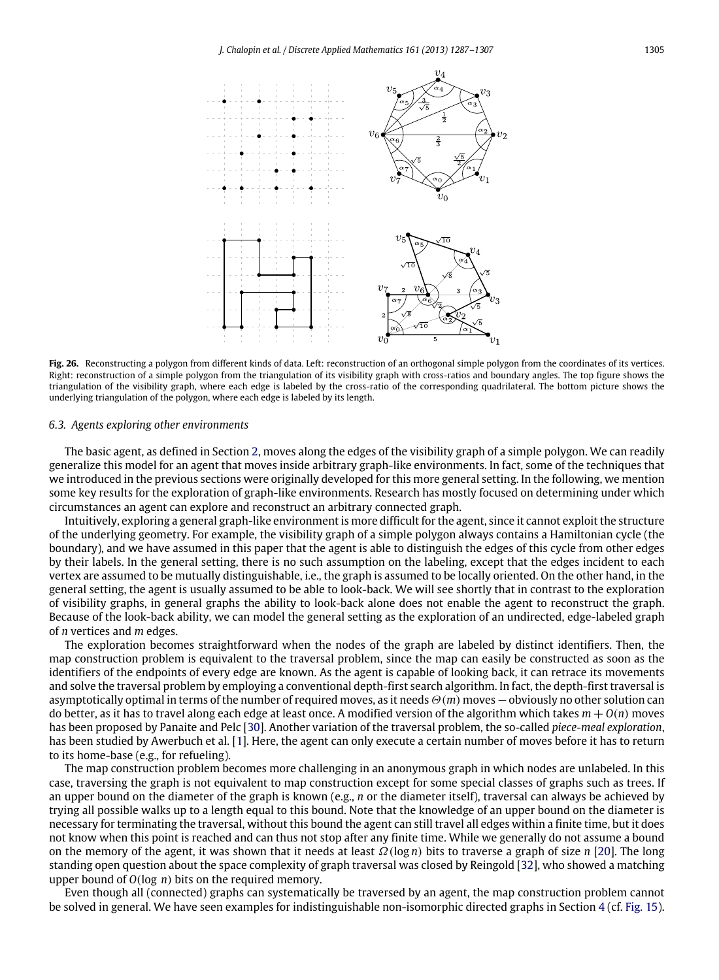<span id="page-18-0"></span>

Fig. 26. Reconstructing a polygon from different kinds of data. Left: reconstruction of an orthogonal simple polygon from the coordinates of its vertices. Right: reconstruction of a simple polygon from the triangulation of its visibility graph with cross-ratios and boundary angles. The top figure shows the triangulation of the visibility graph, where each edge is labeled by the cross-ratio of the corresponding quadrilateral. The bottom picture shows the underlying triangulation of the polygon, where each edge is labeled by its length.

#### *6.3. Agents exploring other environments*

The basic agent, as defined in Section [2,](#page-1-0) moves along the edges of the visibility graph of a simple polygon. We can readily generalize this model for an agent that moves inside arbitrary graph-like environments. In fact, some of the techniques that we introduced in the previous sections were originally developed for this more general setting. In the following, we mention some key results for the exploration of graph-like environments. Research has mostly focused on determining under which circumstances an agent can explore and reconstruct an arbitrary connected graph.

Intuitively, exploring a general graph-like environment is more difficult for the agent, since it cannot exploit the structure of the underlying geometry. For example, the visibility graph of a simple polygon always contains a Hamiltonian cycle (the boundary), and we have assumed in this paper that the agent is able to distinguish the edges of this cycle from other edges by their labels. In the general setting, there is no such assumption on the labeling, except that the edges incident to each vertex are assumed to be mutually distinguishable, i.e., the graph is assumed to be locally oriented. On the other hand, in the general setting, the agent is usually assumed to be able to look-back. We will see shortly that in contrast to the exploration of visibility graphs, in general graphs the ability to look-back alone does not enable the agent to reconstruct the graph. Because of the look-back ability, we can model the general setting as the exploration of an undirected, edge-labeled graph of *n* vertices and *m* edges.

The exploration becomes straightforward when the nodes of the graph are labeled by distinct identifiers. Then, the map construction problem is equivalent to the traversal problem, since the map can easily be constructed as soon as the identifiers of the endpoints of every edge are known. As the agent is capable of looking back, it can retrace its movements and solve the traversal problem by employing a conventional depth-first search algorithm. In fact, the depth-first traversal is asymptotically optimal in terms of the number of required moves, as it needs Θ(*m*) moves — obviously no other solution can do better, as it has to travel along each edge at least once. A modified version of the algorithm which takes  $m + O(n)$  moves has been proposed by Panaite and Pelc [\[30\]](#page-20-25). Another variation of the traversal problem, the so-called *piece-meal exploration*, has been studied by Awerbuch et al. [\[1\]](#page-19-3). Here, the agent can only execute a certain number of moves before it has to return to its home-base (e.g., for refueling).

The map construction problem becomes more challenging in an anonymous graph in which nodes are unlabeled. In this case, traversing the graph is not equivalent to map construction except for some special classes of graphs such as trees. If an upper bound on the diameter of the graph is known (e.g., *n* or the diameter itself), traversal can always be achieved by trying all possible walks up to a length equal to this bound. Note that the knowledge of an upper bound on the diameter is necessary for terminating the traversal, without this bound the agent can still travel all edges within a finite time, but it does not know when this point is reached and can thus not stop after any finite time. While we generally do not assume a bound on the memory of the agent, it was shown that it needs at least Ω(log *n*) bits to traverse a graph of size *n* [\[20\]](#page-20-26). The long standing open question about the space complexity of graph traversal was closed by Reingold [\[32\]](#page-20-27), who showed a matching upper bound of *O*(log *n*) bits on the required memory.

Even though all (connected) graphs can systematically be traversed by an agent, the map construction problem cannot be solved in general. We have seen examples for indistinguishable non-isomorphic directed graphs in Section [4](#page-7-0) (cf. [Fig. 15\)](#page-9-1).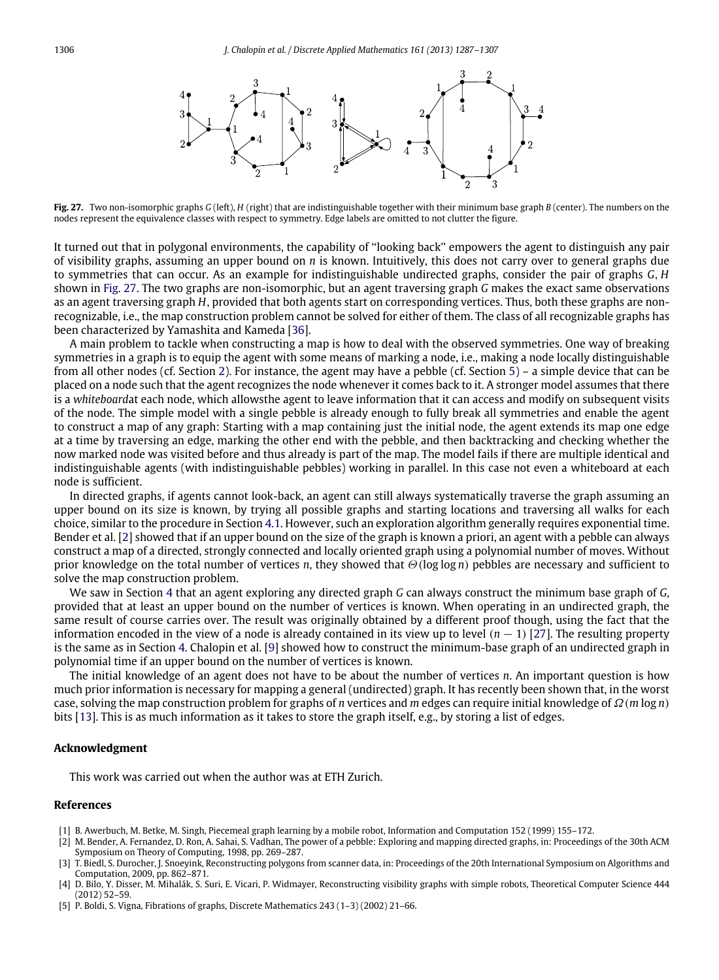<span id="page-19-4"></span>

**Fig. 27.** Two non-isomorphic graphs *G* (left), *H* (right) that are indistinguishable together with their minimum base graph *B* (center). The numbers on the nodes represent the equivalence classes with respect to symmetry. Edge labels are omitted to not clutter the figure.

It turned out that in polygonal environments, the capability of ''looking back'' empowers the agent to distinguish any pair of visibility graphs, assuming an upper bound on *n* is known. Intuitively, this does not carry over to general graphs due to symmetries that can occur. As an example for indistinguishable undirected graphs, consider the pair of graphs *G*, *H* shown in [Fig. 27.](#page-19-4) The two graphs are non-isomorphic, but an agent traversing graph *G* makes the exact same observations as an agent traversing graph *H*, provided that both agents start on corresponding vertices. Thus, both these graphs are nonrecognizable, i.e., the map construction problem cannot be solved for either of them. The class of all recognizable graphs has been characterized by Yamashita and Kameda [\[36\]](#page-20-28).

A main problem to tackle when constructing a map is how to deal with the observed symmetries. One way of breaking symmetries in a graph is to equip the agent with some means of marking a node, i.e., making a node locally distinguishable from all other nodes (cf. Section [2\)](#page-1-0). For instance, the agent may have a pebble (cf. Section [5\)](#page-12-0) – a simple device that can be placed on a node such that the agent recognizes the node whenever it comes back to it. A stronger model assumes that there is a *whiteboard*at each node, which allowsthe agent to leave information that it can access and modify on subsequent visits of the node. The simple model with a single pebble is already enough to fully break all symmetries and enable the agent to construct a map of any graph: Starting with a map containing just the initial node, the agent extends its map one edge at a time by traversing an edge, marking the other end with the pebble, and then backtracking and checking whether the now marked node was visited before and thus already is part of the map. The model fails if there are multiple identical and indistinguishable agents (with indistinguishable pebbles) working in parallel. In this case not even a whiteboard at each node is sufficient.

In directed graphs, if agents cannot look-back, an agent can still always systematically traverse the graph assuming an upper bound on its size is known, by trying all possible graphs and starting locations and traversing all walks for each choice, similar to the procedure in Section [4.1.](#page-8-2) However, such an exploration algorithm generally requires exponential time. Bender et al. [\[2\]](#page-19-5) showed that if an upper bound on the size of the graph is known a priori, an agent with a pebble can always construct a map of a directed, strongly connected and locally oriented graph using a polynomial number of moves. Without prior knowledge on the total number of vertices *n*, they showed that Θ(log log *n*) pebbles are necessary and sufficient to solve the map construction problem.

We saw in Section [4](#page-7-0) that an agent exploring any directed graph *G* can always construct the minimum base graph of *G*, provided that at least an upper bound on the number of vertices is known. When operating in an undirected graph, the same result of course carries over. The result was originally obtained by a different proof though, using the fact that the information encoded in the view of a node is already contained in its view up to level  $(n - 1)$  [\[27\]](#page-20-8). The resulting property is the same as in Section [4.](#page-7-0) Chalopin et al. [\[9\]](#page-20-29) showed how to construct the minimum-base graph of an undirected graph in polynomial time if an upper bound on the number of vertices is known.

The initial knowledge of an agent does not have to be about the number of vertices *n*. An important question is how much prior information is necessary for mapping a general (undirected) graph. It has recently been shown that, in the worst case, solving the map construction problem for graphs of *n* vertices and *m* edges can require initial knowledge of Ω(*m* log *n*) bits [\[13\]](#page-20-30). This is as much information as it takes to store the graph itself, e.g., by storing a list of edges.

### **Acknowledgment**

This work was carried out when the author was at ETH Zurich.

### **References**

- <span id="page-19-3"></span>[1] B. Awerbuch, M. Betke, M. Singh, Piecemeal graph learning by a mobile robot, Information and Computation 152 (1999) 155–172.
- <span id="page-19-5"></span>[2] M. Bender, A. Fernandez, D. Ron, A. Sahai, S. Vadhan, The power of a pebble: Exploring and mapping directed graphs, in: Proceedings of the 30th ACM Symposium on Theory of Computing, 1998, pp. 269–287.
- <span id="page-19-2"></span>[3] T. Biedl, S. Durocher, J. Snoeyink, Reconstructing polygons from scanner data, in: Proceedings of the 20th International Symposium on Algorithms and Computation, 2009, pp. 862–871.
- <span id="page-19-0"></span>[4] D. Bilo, Y. Disser, M. Mihalák, S. Suri, E. Vicari, P. Widmayer, Reconstructing visibility graphs with simple robots, Theoretical Computer Science 444 (2012) 52–59.
- <span id="page-19-1"></span>[5] P. Boldi, S. Vigna, Fibrations of graphs, Discrete Mathematics 243 (1–3) (2002) 21–66.